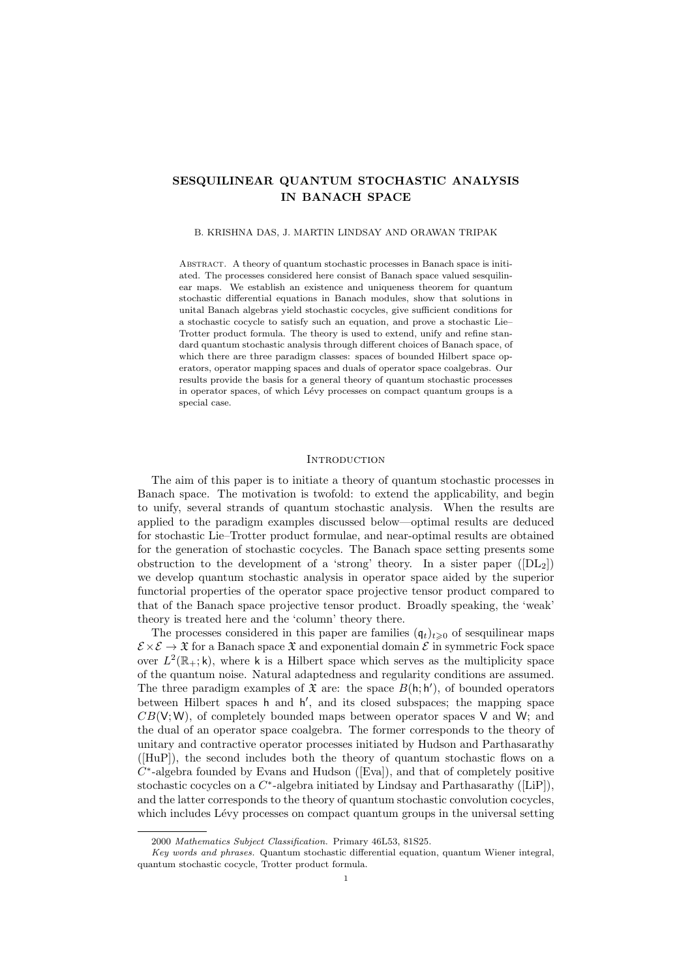# SESQUILINEAR QUANTUM STOCHASTIC ANALYSIS IN BANACH SPACE

## B. KRISHNA DAS, J. MARTIN LINDSAY AND ORAWAN TRIPAK

Abstract. A theory of quantum stochastic processes in Banach space is initiated. The processes considered here consist of Banach space valued sesquilinear maps. We establish an existence and uniqueness theorem for quantum stochastic differential equations in Banach modules, show that solutions in unital Banach algebras yield stochastic cocycles, give sufficient conditions for a stochastic cocycle to satisfy such an equation, and prove a stochastic Lie– Trotter product formula. The theory is used to extend, unify and refine standard quantum stochastic analysis through different choices of Banach space, of which there are three paradigm classes: spaces of bounded Hilbert space operators, operator mapping spaces and duals of operator space coalgebras. Our results provide the basis for a general theory of quantum stochastic processes in operator spaces, of which Lévy processes on compact quantum groups is a special case.

## **INTRODUCTION**

The aim of this paper is to initiate a theory of quantum stochastic processes in Banach space. The motivation is twofold: to extend the applicability, and begin to unify, several strands of quantum stochastic analysis. When the results are applied to the paradigm examples discussed below—optimal results are deduced for stochastic Lie–Trotter product formulae, and near-optimal results are obtained for the generation of stochastic cocycles. The Banach space setting presents some obstruction to the development of a 'strong' theory. In a sister paper  $([DL_2])$ we develop quantum stochastic analysis in operator space aided by the superior functorial properties of the operator space projective tensor product compared to that of the Banach space projective tensor product. Broadly speaking, the 'weak' theory is treated here and the 'column' theory there.

The processes considered in this paper are families  $(\mathfrak{q}_t)_{t\geq0}$  of sesquilinear maps  $\mathcal{E} \times \mathcal{E} \to \mathfrak{X}$  for a Banach space  $\mathfrak{X}$  and exponential domain  $\mathcal{E}$  in symmetric Fock space over  $L^2(\mathbb{R}_+;\mathsf{k})$ , where k is a Hilbert space which serves as the multiplicity space of the quantum noise. Natural adaptedness and regularity conditions are assumed. The three paradigm examples of  $\mathfrak X$  are: the space  $B(h; h')$ , of bounded operators between Hilbert spaces h and h', and its closed subspaces; the mapping space  $CB(V;W)$ , of completely bounded maps between operator spaces V and W; and the dual of an operator space coalgebra. The former corresponds to the theory of unitary and contractive operator processes initiated by Hudson and Parthasarathy ([HuP]), the second includes both the theory of quantum stochastic flows on a  $C^*$ -algebra founded by Evans and Hudson ([Eva]), and that of completely positive stochastic cocycles on a  $C^*$ -algebra initiated by Lindsay and Parthasarathy ([LiP]), and the latter corresponds to the theory of quantum stochastic convolution cocycles, which includes Lévy processes on compact quantum groups in the universal setting

<sup>2000</sup> Mathematics Subject Classification. Primary 46L53, 81S25.

Key words and phrases. Quantum stochastic differential equation, quantum Wiener integral, quantum stochastic cocycle, Trotter product formula.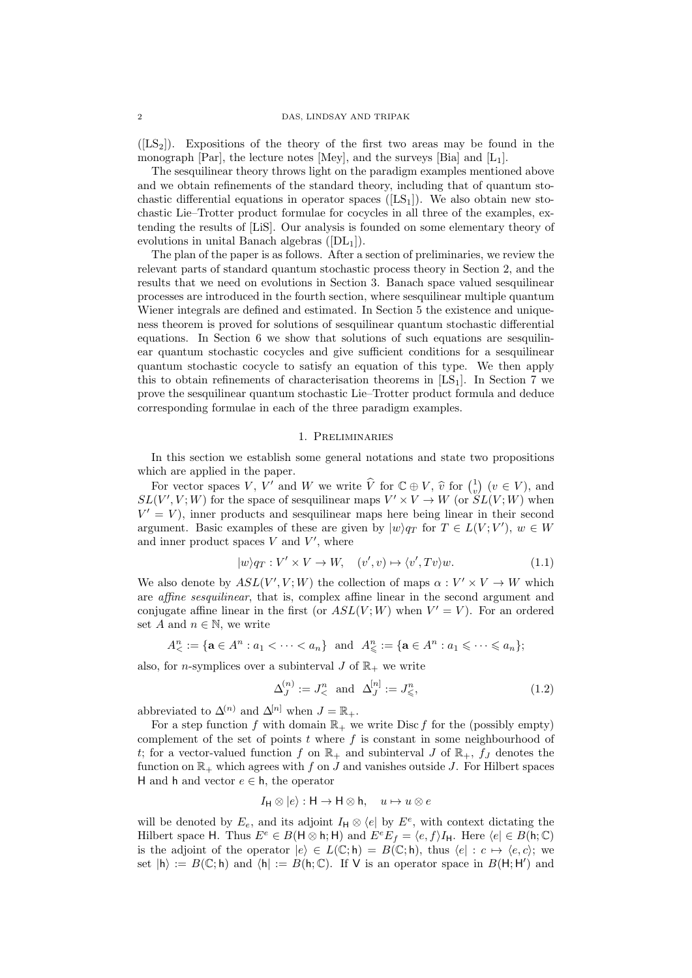$([LS<sub>2</sub>])$ . Expositions of the theory of the first two areas may be found in the monograph [Par], the lecture notes [Mey], and the surveys [Bia] and  $[L_1]$ .

The sesquilinear theory throws light on the paradigm examples mentioned above and we obtain refinements of the standard theory, including that of quantum stochastic differential equations in operator spaces  $([LS<sub>1</sub>])$ . We also obtain new stochastic Lie–Trotter product formulae for cocycles in all three of the examples, extending the results of [LiS]. Our analysis is founded on some elementary theory of evolutions in unital Banach algebras  $([DL<sub>1</sub>]).$ 

The plan of the paper is as follows. After a section of preliminaries, we review the relevant parts of standard quantum stochastic process theory in Section 2, and the results that we need on evolutions in Section 3. Banach space valued sesquilinear processes are introduced in the fourth section, where sesquilinear multiple quantum Wiener integrals are defined and estimated. In Section 5 the existence and uniqueness theorem is proved for solutions of sesquilinear quantum stochastic differential equations. In Section 6 we show that solutions of such equations are sesquilinear quantum stochastic cocycles and give sufficient conditions for a sesquilinear quantum stochastic cocycle to satisfy an equation of this type. We then apply this to obtain refinements of characterisation theorems in  $[LS<sub>1</sub>]$ . In Section 7 we prove the sesquilinear quantum stochastic Lie–Trotter product formula and deduce corresponding formulae in each of the three paradigm examples.

# 1. Preliminaries

In this section we establish some general notations and state two propositions which are applied in the paper.

For vector spaces V, V' and W we write  $\hat{V}$  for  $\mathbb{C} \oplus V$ ,  $\hat{v}$  for  $\begin{pmatrix} 1 \\ v \end{pmatrix}$   $(v \in V)$ , and  $(V' \ V \cdot W)$  for the space of securiting maps  $V' \times V \to W$  (or  $\mathcal{S}I(V \cdot W)$  when  $SL(V', V; W)$  for the space of sesquilinear maps  $V' \times V \to W$  (or  $SL(V; W)$  when  $V' = V$ , inner products and sesquilinear maps here being linear in their second argument. Basic examples of these are given by  $|w\rangle q_T$  for  $T \in L(V; V')$ ,  $w \in W$ and inner product spaces  $V$  and  $V'$ , where

$$
|w\rangle q_T : V' \times V \to W, \quad (v', v) \mapsto \langle v', Tv \rangle w. \tag{1.1}
$$

We also denote by  $ASL(V', V; W)$  the collection of maps  $\alpha : V' \times V \to W$  which are affine sesquilinear, that is, complex affine linear in the second argument and conjugate affine linear in the first (or  $ASL(V;W)$  when  $V' = V$ ). For an ordered set A and  $n \in \mathbb{N}$ , we write

$$
A^n_{\leq} := \{ \mathbf{a} \in A^n : a_1 < \cdots < a_n \} \quad \text{and} \quad A^n_{\leq} := \{ \mathbf{a} \in A^n : a_1 \leqslant \cdots \leqslant a_n \};
$$

also, for *n*-symplices over a subinterval  $J$  of  $\mathbb{R}_+$  we write

$$
\Delta_J^{(n)} := J^n_< \text{ and } \Delta_J^{[n]} := J^n_< , \tag{1.2}
$$

abbreviated to  $\Delta^{(n)}$  and  $\Delta^{[n]}$  when  $J = \mathbb{R}_+$ .

For a step function f with domain  $\mathbb{R}_+$  we write Disc f for the (possibly empty) complement of the set of points  $t$  where  $f$  is constant in some neighbourhood of t; for a vector-valued function f on  $\mathbb{R}_+$  and subinterval J of  $\mathbb{R}_+$ ,  $f_J$  denotes the function on  $\mathbb{R}_+$  which agrees with f on J and vanishes outside J. For Hilbert spaces H and h and vector  $e \in \mathsf{h}$ , the operator

$$
I_{\mathsf{H}} \otimes |e\rangle : \mathsf{H} \to \mathsf{H} \otimes \mathsf{h}, \quad u \mapsto u \otimes e
$$

will be denoted by  $E_e$ , and its adjoint  $I_H \otimes \langle e |$  by  $E^e$ , with context dictating the Hilbert space H. Thus  $E^e \in B(H \otimes h; H)$  and  $E^e E_f = \langle e, f \rangle I_H$ . Here  $\langle e | \in B(h; \mathbb{C})$ is the adjoint of the operator  $|e\rangle \in L(\mathbb{C}; \mathsf{h}) = B(\mathbb{C}; \mathsf{h})$ , thus  $\langle e| : c \mapsto \langle e, c \rangle$ ; we set  $|h\rangle := B(\mathbb{C};h)$  and  $\langle h| := B(h;\mathbb{C})$ . If V is an operator space in  $B(H;H')$  and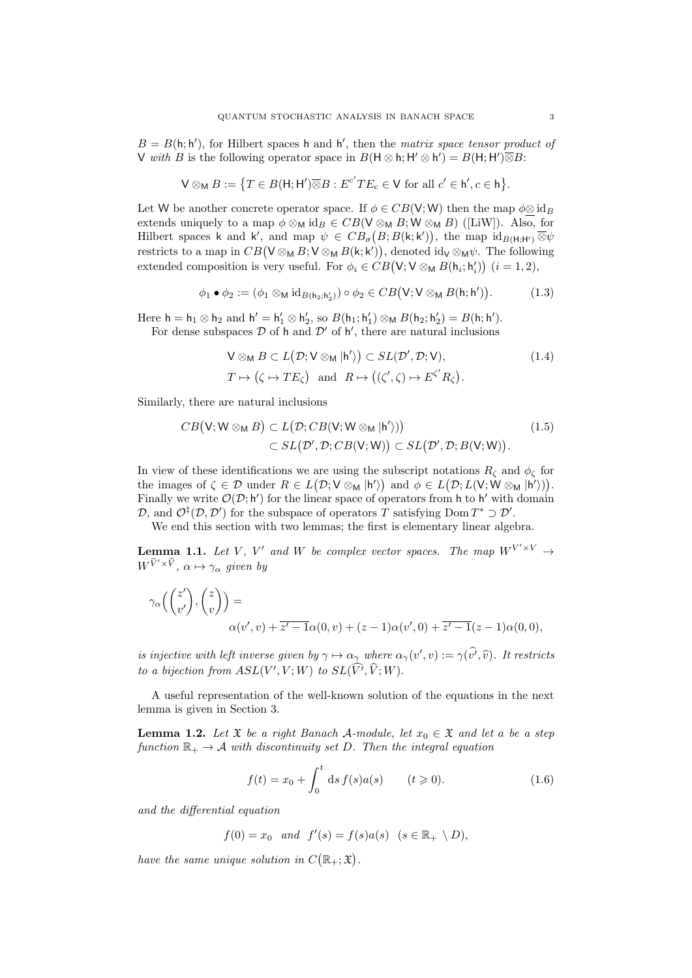$B = B(h; h')$ , for Hilbert spaces h and h', then the matrix space tensor product of V with B is the following operator space in  $B(H \otimes h; H' \otimes h') = B(H; H') \overline{\otimes} B$ :

$$
\mathsf{V}\otimes_{\mathsf{M}}B:=\big\{T\in B(\mathsf{H};\mathsf{H}')\overline{\otimes}B:E^{c'}TE_{c}\in\mathsf{V}\ \text{for all}\ c'\in\mathsf{h}',c\in\mathsf{h}\big\}.
$$

Let W be another concrete operator space. If  $\phi \in CB(\mathsf{V};\mathsf{W})$  then the map  $\phi \otimes id_B$ extends uniquely to a map  $\phi \otimes_M id_B \in CB(\mathsf{V} \otimes_M B; \mathsf{W} \otimes_M B)$  ([LiW]). Also, for Hilbert spaces k and k', and map  $\psi \in CB_{\sigma}(B;B(k;k'))$ , the map  $\mathrm{id}_{B(H;H')}\overline{\otimes}\psi$ restricts to a map in  $CB(V \otimes_M B; V \otimes_M B(k; k'))$ , denoted id<sub>V</sub>  $\otimes_M \psi$ . The following extended composition is very useful. For  $\phi_i \in CB(\mathsf{V}; \mathsf{V} \otimes_{\mathsf{M}} B(\mathsf{h}_i; \mathsf{h}'_i))$   $(i = 1, 2)$ ,

$$
\phi_1 \bullet \phi_2 := (\phi_1 \otimes_M \mathrm{id}_{B(\mathsf{h}_2; \mathsf{h}_2')} ) \circ \phi_2 \in CB(\mathsf{V}; \mathsf{V} \otimes_M B(\mathsf{h}; \mathsf{h}')) . \tag{1.3}
$$

Here  $h = h_1 \otimes h_2$  and  $h' = h'_1 \otimes h'_2$ , so  $B(h_1; h'_1) \otimes_M B(h_2; h'_2) = B(h; h').$ For dense subspaces  $D$  of h and  $D'$  of h', there are natural inclusions

$$
\begin{aligned} \n\nabla \otimes_{\mathsf{M}} B &\subset L(\mathcal{D}; \mathsf{V} \otimes_{\mathsf{M}} | \mathsf{h'} \rangle) \subset SL(\mathcal{D'}, \mathcal{D}; \mathsf{V}), \\ T &\mapsto \left( \zeta \mapsto TE_{\zeta} \right) \quad \text{and} \quad R \mapsto \left( (\zeta', \zeta) \mapsto E^{\zeta'} R_{\zeta} \right). \end{aligned} \tag{1.4}
$$

Similarly, there are natural inclusions

$$
CB(\mathsf{V}; \mathsf{W} \otimes_{\mathsf{M}} B) \subset L(\mathcal{D}; CB(\mathsf{V}; \mathsf{W} \otimes_{\mathsf{M}} |\mathsf{h}'))\subset SL(\mathcal{D}', \mathcal{D}; CB(\mathsf{V}; \mathsf{W})) \subset SL(\mathcal{D}', \mathcal{D}; B(\mathsf{V}; \mathsf{W})).
$$
\n(1.5)

In view of these identifications we are using the subscript notations  $R_{\zeta}$  and  $\phi_{\zeta}$  for the images of  $\zeta \in \mathcal{D}$  under  $R \in L(\mathcal{D}; V \otimes_M | h \rangle)$  and  $\phi \in L(\mathcal{D}; L(V; W \otimes_M | h \rangle)).$ Finally we write  $\mathcal{O}(\mathcal{D}; h')$  for the linear space of operators from h to h' with domain D, and  $\mathcal{O}^{\ddagger}(\mathcal{D}, \mathcal{D}')$  for the subspace of operators T satisfying Dom  $T^* \supset \mathcal{D}'$ .

We end this section with two lemmas; the first is elementary linear algebra.

**Lemma 1.1.** Let V, V' and W be complex vector spaces. The map  $W^{V' \times V} \rightarrow$  $W^{\widehat{V}'\times\widehat{V}}$ ,  $\alpha\mapsto\gamma_{\alpha}$  given by

$$
\gamma_{\alpha}\left(\binom{z'}{v'},\binom{z}{v}\right) = \alpha(v',v) + \overline{z'-1}\alpha(0,v) + (z-1)\alpha(v',0) + \overline{z'-1}(z-1)\alpha(0,0),
$$

is injective with left inverse given by  $\gamma \mapsto \alpha_{\gamma}$  where  $\alpha_{\gamma}(v', v) := \gamma(v', \hat{v})$ . It restricts to a bijection from  $ASL(V', V; W)$  to  $SL(\widehat{V'}, \widehat{V}; W)$ .

A useful representation of the well-known solution of the equations in the next lemma is given in Section 3.

**Lemma 1.2.** Let  $\mathfrak{X}$  be a right Banach A-module, let  $x_0 \in \mathfrak{X}$  and let a be a step function  $\mathbb{R}_+ \to A$  with discontinuity set D. Then the integral equation

$$
f(t) = x_0 + \int_0^t ds f(s)a(s) \qquad (t \ge 0).
$$
 (1.6)

and the differential equation

$$
f(0) = x_0 \quad and \quad f'(s) = f(s)a(s) \quad (s \in \mathbb{R}_+ \setminus D),
$$

have the same unique solution in  $C(\mathbb{R}_+;\mathfrak{X})$ .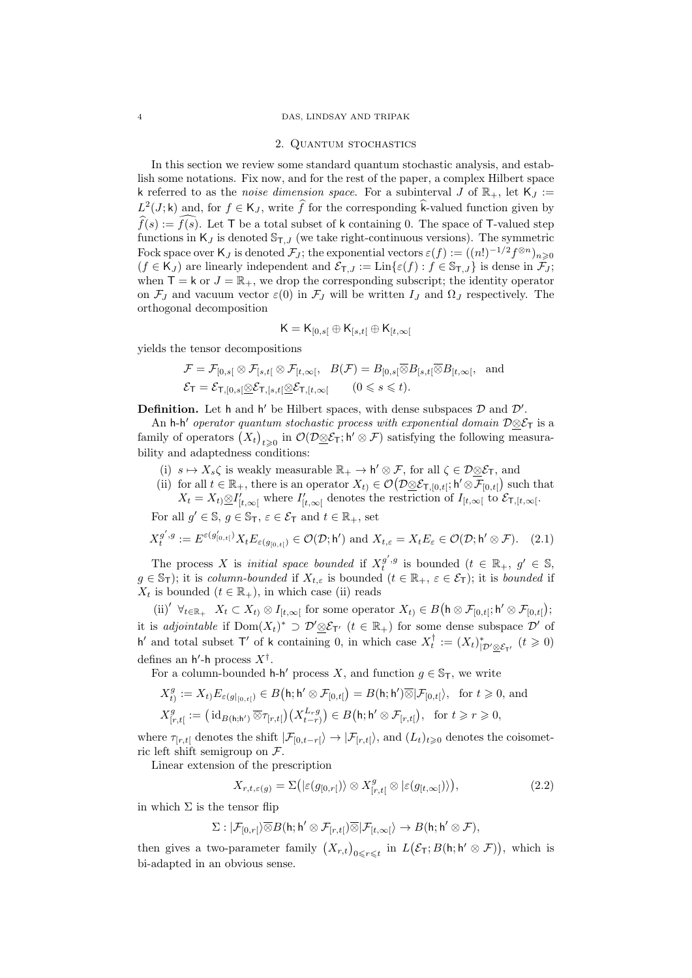#### 4 DAS, LINDSAY AND TRIPAK

#### 2. Quantum stochastics

In this section we review some standard quantum stochastic analysis, and establish some notations. Fix now, and for the rest of the paper, a complex Hilbert space k referred to as the *noise dimension space*. For a subinterval J of  $\mathbb{R}_+$ , let  $\mathsf{K}_J$  :=  $L^2(J; \mathsf{k})$  and, for  $f \in \mathsf{K}_J$ , write  $\widehat{f}$  for the corresponding  $\widehat{\mathsf{k}}$ -valued function given by  $\widehat{f}(s) := \widehat{f}(s)$ . Let T be a total subset of k containing 0. The space of T-valued step functions in  $K_J$  is denoted  $\mathbb{S}_{\mathsf{T},J}$  (we take right-continuous versions). The symmetric Fock space over K<sub>J</sub> is denoted  $\mathcal{F}_J$ ; the exponential vectors  $\varepsilon(f) := ((n!)^{-1/2} f^{\otimes n})_{n \geqslant 0}$  $(f \in K_J)$  are linearly independent and  $\mathcal{E}_{T,J} := \text{Lin}\{\varepsilon(f) : f \in \mathbb{S}_{T,J}\}\$ is dense in  $\mathcal{F}_J$ ; when  $\mathsf{T} = \mathsf{k}$  or  $J = \mathbb{R}_+$ , we drop the corresponding subscript; the identity operator on  $\mathcal{F}_J$  and vacuum vector  $\varepsilon(0)$  in  $\mathcal{F}_J$  will be written  $I_J$  and  $\Omega_J$  respectively. The orthogonal decomposition

$$
\mathsf{K}=\mathsf{K}_{[0,s[}\oplus\mathsf{K}_{[s,t[}\oplus\mathsf{K}_{[t,\infty[}
$$

yields the tensor decompositions

$$
\mathcal{F} = \mathcal{F}_{[0,s[} \otimes \mathcal{F}_{[s,t[} \otimes \mathcal{F}_{[t,\infty[}, B(\mathcal{F}) = B_{[0,s[} \overline{\otimes} B_{[s,t[} \overline{\otimes} B_{[t,\infty[}, \text{and} \mathcal{F}_{\mathcal{F}_{\mathcal{F}_{\mathcal{F}}}[\mathcal{F}_{\mathcal{F}_{\mathcal{F}}}[\mathcal{F}_{\mathcal{F}_{\mathcal{F}}}[\mathcal{F}_{\mathcal{F}_{\mathcal{F}}}])]}(0 \le s \le t).
$$

**Definition.** Let h and h' be Hilbert spaces, with dense subspaces  $D$  and  $D'$ .

An h-h' operator quantum stochastic process with exponential domain  $\mathcal{D}\otimes\mathcal{E}_T$  is a family of operators  $(X_t)_{t\geqslant0}$  in  $\mathcal{O}(\mathcal{D}\otimes\mathcal{E}_T; \mathsf{h}'\otimes\mathcal{F})$  satisfying the following measurability and adaptedness conditions:

- (i)  $s \mapsto X_s \zeta$  is weakly measurable  $\mathbb{R}_+ \to \mathsf{h}' \otimes \mathcal{F}$ , for all  $\zeta \in \mathcal{D} \otimes \mathcal{E}_{\mathsf{T}}$ , and
- (ii) for all  $t \in \mathbb{R}_+$ , there is an operator  $X_t \in \mathcal{O}(\mathcal{D} \otimes \mathcal{E}_{\mathsf{T},[0,t[}; \mathsf{h}' \otimes \overline{\mathcal{F}}_{[0,t[})$  such that  $X_t = X_t \otimes I'_{[t,\infty[}$  where  $I'_{[t,\infty[}$  denotes the restriction of  $I_{[t,\infty[}$  to  $\mathcal{E}_{\mathsf{T},[t,\infty[}$ .

For all  $g' \in \mathbb{S}$ ,  $g \in \mathbb{S}_{\mathsf{T}}$ ,  $\varepsilon \in \mathcal{E}_{\mathsf{T}}$  and  $t \in \mathbb{R}_{+}$ , set

$$
X_t^{g',g} := E^{\varepsilon(g'_{[0,t[})} X_t E_{\varepsilon(g_{[0,t[})} \in \mathcal{O}(\mathcal{D}; \mathsf{h}')) \text{ and } X_{t,\varepsilon} = X_t E_{\varepsilon} \in \mathcal{O}(\mathcal{D}; \mathsf{h}' \otimes \mathcal{F}). \tag{2.1}
$$

The process X is *initial space bounded* if  $X_t^{g',g}$  is bounded  $(t \in \mathbb{R}_+, g' \in \mathbb{S},$  $g \in \mathbb{S}_{\mathsf{T}}$ ); it is column-bounded if  $X_{t,\varepsilon}$  is bounded  $(t \in \mathbb{R}_+, \varepsilon \in \mathcal{E}_{\mathsf{T}})$ ; it is bounded if  $X_t$  is bounded  $(t \in \mathbb{R}_+)$ , in which case (ii) reads

(ii)<sup>'</sup>  $\forall_{t\in\mathbb{R}_{+}}$   $X_{t} \subset X_{t}$   $\otimes I_{[t,\infty[}$  for some operator  $X_{t}$   $\in B(\mathsf{h} \otimes \mathcal{F}_{[0,t[} ; \mathsf{h}' \otimes \mathcal{F}_{[0,t[});$ it is adjointable if  $Dom(X_t)^* \supset \mathcal{D}' \otimes \mathcal{E}_{T'}$   $(t \in \mathbb{R}_+)$  for some dense subspace  $\mathcal{D}'$  of h' and total subset T' of k containing 0, in which case  $X_t^{\dagger} := (X_t)_{|\mathcal{D}' \otimes \mathcal{E}_{T'}}^*$   $(t \geq 0)$ defines an  $h'$ -h process  $X^{\dagger}$ .

For a column-bounded  $h-h'$  process X, and function  $g \in \mathbb{S}_{\mathsf{T}}$ , we write

$$
X_{t}^{g} := X_{t} E_{\varepsilon(g|_{[0,t[})} \in B(\mathsf{h}; \mathsf{h}' \otimes \mathcal{F}_{[0,t[}) = B(\mathsf{h}; \mathsf{h}') \overline{\otimes} |\mathcal{F}_{[0,t[}) , \text{ for } t \geq 0, \text{ and}
$$
  

$$
X_{[r,t[}^{g} := (\mathrm{id}_{B(\mathsf{h}; \mathsf{h}')} \overline{\otimes} \tau_{[r,t[}) (X_{t-r}^{L,g}) \in B(\mathsf{h}; \mathsf{h}' \otimes \mathcal{F}_{[r,t[}) , \text{ for } t \geq r \geq 0,
$$

where  $\tau_{[r,t]}$  denotes the shift  $|\mathcal{F}_{[0,t-r]}\rangle \to |\mathcal{F}_{[r,t]}\rangle$ , and  $(L_t)_{t\geq 0}$  denotes the coisometric left shift semigroup on F.

Linear extension of the prescription

$$
X_{r,t,\varepsilon(g)} = \Sigma\big(|\varepsilon(g_{[0,r[})\rangle \otimes X_{[r,t[}^g \otimes |\varepsilon(g_{[t,\infty[})\rangle)\big),\tag{2.2}
$$

in which  $\Sigma$  is the tensor flip

$$
\Sigma: |\mathcal{F}_{[0,r[}\rangle \overline{\otimes} B(\mathsf{h}; \mathsf{h}' \otimes \mathcal{F}_{[r,t[}) \overline{\otimes} |\mathcal{F}_{[t,\infty[}\rangle \to B(\mathsf{h}; \mathsf{h}' \otimes \mathcal{F}),
$$

then gives a two-parameter family  $(X_{r,t})_{0\leqslant r\leqslant t}$  in  $L(\mathcal{E}_{\mathsf{T}};B(\mathsf{h};\mathsf{h}'\otimes\mathcal{F}))$ , which is bi-adapted in an obvious sense.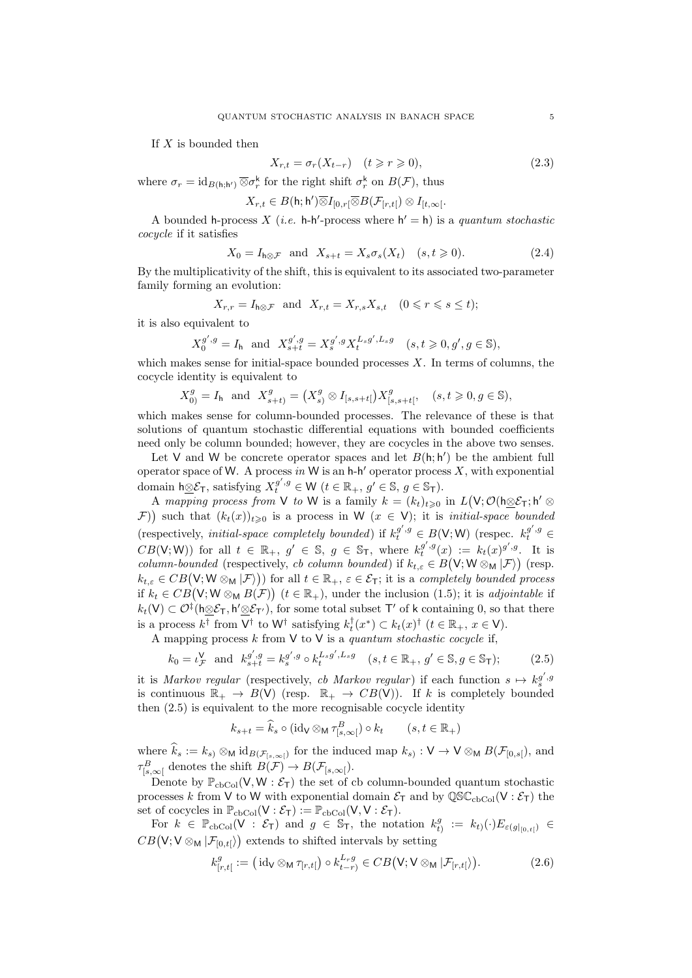If  $X$  is bounded then

$$
X_{r,t} = \sigma_r(X_{t-r}) \quad (t \ge r \ge 0), \tag{2.3}
$$

where  $\sigma_r = \mathrm{id}_{B(\mathsf{h};\mathsf{h}')} \,\overline{\otimes} \sigma_r^{\mathsf{k}}$  for the right shift  $\sigma_r^{\mathsf{k}}$  on  $B(\mathcal{F})$ , thus

$$
X_{r,t}\in B(\mathsf{h};\mathsf{h}')\overline{\otimes}I_{[0,r[}\overline{\otimes}B(\mathcal{F}_{[r,t[})\otimes I_{[t,\infty[}.
$$

A bounded h-process X (*i.e.* h-h'-process where  $h' = h$ ) is a quantum stochastic cocycle if it satisfies

$$
X_0 = I_{h \otimes \mathcal{F}} \quad \text{and} \quad X_{s+t} = X_s \sigma_s(X_t) \quad (s, t \geq 0). \tag{2.4}
$$

By the multiplicativity of the shift, this is equivalent to its associated two-parameter family forming an evolution:

$$
X_{r,r} = I_{h \otimes \mathcal{F}}
$$
 and  $X_{r,t} = X_{r,s} X_{s,t}$   $(0 \le r \le s \le t);$ 

it is also equivalent to

$$
X_0^{g',g} = I_h \text{ and } X_{s+t}^{g',g} = X_s^{g',g} X_t^{L_s g',L_s g} \quad (s,t \geq 0,g',g \in \mathbb{S}),
$$

which makes sense for initial-space bounded processes  $X$ . In terms of columns, the cocycle identity is equivalent to

$$
X_{0}^{g}=I_{\mathsf{h}}\;\;\text{and}\;\;X_{s+t}^{g}=\left(X_{s}^{g}\otimes I_{[s,s+t[}\right)X_{[s,s+t[}^{g},\quad (s,t\geqslant 0,g\in\mathbb{S}),
$$

which makes sense for column-bounded processes. The relevance of these is that solutions of quantum stochastic differential equations with bounded coefficients need only be column bounded; however, they are cocycles in the above two senses.

Let V and W be concrete operator spaces and let  $B(h; h')$  be the ambient full operator space of W. A process in W is an  $h-h'$  operator process X, with exponential domain h⊗ $\mathcal{E}_{\mathsf{T}}$ , satisfying  $X_t^{g',g} \in \mathsf{W}$   $(t \in \mathbb{R}_+, g' \in \mathbb{S}, g \in \mathbb{S}_{\mathsf{T}})$ .

A mapping process from V to W is a family  $k = (k_t)_{t \geqslant 0}$  in  $L(V; \mathcal{O}(\hat{\log} \mathcal{E}_{\tau}; \mathsf{h}' \otimes$ F)) such that  $(k_t(x))_{t\geqslant 0}$  is a process in W  $(x \in V)$ ; it is *initial-space bounded* (respectively, *initial-space completely bounded*) if  $k_t^{g',g} \in B(V;W)$  (respec.  $k_t^{g',g} \in B(V;W)$  $CB(V;W)$  for all  $t \in \mathbb{R}_+$ ,  $g' \in \mathbb{S}$ ,  $g \in \mathbb{S}_T$ , where  $k_t^{g',g}(x) := k_t(x)^{g',g}$ . It is column-bounded (respectively, cb column bounded) if  $k_{t,\varepsilon} \in B(\mathsf{V}; \mathsf{W} \otimes_{\mathsf{M}} | \mathcal{F})$  (resp.  $k_{t,\varepsilon} \in CB(\mathsf{V}; \mathsf{W} \otimes_{\mathsf{M}} | \mathcal{F})$ ) for all  $t \in \mathbb{R}_+, \varepsilon \in \mathcal{E}_{\mathsf{T}}$ ; it is a completely bounded process if  $k_t \in CB(\mathsf{V}; \mathsf{W} \otimes_{\mathsf{M}} B(\mathcal{F}))$   $(t \in \mathbb{R}_+),$  under the inclusion (1.5); it is adjointable if  $k_t(\mathsf{V}) \subset \mathcal{O}^{\ddagger}(\mathsf{h} \underline{\otimes} \mathcal{E}_{\mathsf{T}}, \mathsf{h}' \underline{\otimes} \mathcal{E}_{\mathsf{T}'})$ , for some total subset  $\mathsf{T}'$  of k containing 0, so that there is a process  $k^{\dagger}$  from  $\mathsf{V}^{\dagger}$  to  $\mathsf{W}^{\dagger}$  satisfying  $k_t^{\dagger}(x^*) \subset k_t(x)^{\dagger}$   $(t \in \mathbb{R}_+, x \in \mathsf{V})$ .

A mapping process  $k$  from  $\vee$  to  $\vee$  is a quantum stochastic cocycle if,

$$
k_0 = \iota_{\mathcal{F}}^{\mathsf{V}} \text{ and } k_{s+t}^{g',g} = k_s^{g',g} \circ k_t^{L_s g', L_s g} \quad (s, t \in \mathbb{R}_+, g' \in \mathbb{S}, g \in \mathbb{S}_{\mathsf{T}});
$$
 (2.5)

it is Markov regular (respectively, cb Markov regular) if each function  $s \mapsto k_s^{g',g}$ is continuous  $\mathbb{R}_+ \to B(V)$  (resp.  $\mathbb{R}_+ \to CB(V)$ ). If k is completely bounded then (2.5) is equivalent to the more recognisable cocycle identity

$$
k_{s+t} = \widehat{k}_s \circ (\mathrm{id}_{\mathsf{V}} \otimes_{\mathsf{M}} \tau^B_{[s,\infty[}) \circ k_t \qquad (s, t \in \mathbb{R}_+)
$$

where  $k_s := k_s \otimes_M id_{B(\mathcal{F}_{[s,\infty[})}$  for the induced map  $k_s : V \to V \otimes_M B(\mathcal{F}_{[0,s[})$ , and  $\tau_{[s,\infty[}^B$  denotes the shift  $B(\mathcal{F}) \to B(\mathcal{F}_{[s,\infty[}])$ .

Denote by  $\mathbb{P}_{\text{cbCol}}(V, W : \mathcal{E}_{\text{T}})$  the set of cb column-bounded quantum stochastic processes k from V to W with exponential domain  $\mathcal{E}_{T}$  and by  $\mathbb{QSC}_{\mathrm{cbCol}}(V : \mathcal{E}_{T})$  the set of cocycles in  $\mathbb{P}_{\text{cbCol}}(V : \mathcal{E}_{\text{T}}) := \mathbb{P}_{\text{cbCol}}(V, V : \mathcal{E}_{\text{T}}).$ 

For  $k \in \mathbb{P}_{\text{cbCol}}(V : \mathcal{E}_{\text{T}})$  and  $g \in \mathbb{S}_{\text{T}}$ , the notation  $k_t^g$  $\theta^g_{t)} \ := \ k_{t)}(\cdot) E_{\varepsilon(g|_{[0,\,t[})]} \ \in$  $CB(\mathsf{V};\mathsf{V}\otimes_{\mathsf{M}}|\mathcal{F}_{[0,t[})\mathsf{)}$  extends to shifted intervals by setting

$$
k_{[r,t]}^g := (\mathrm{id}_{\mathsf{V}} \otimes_{\mathsf{M}} \tau_{[r,t]}) \circ k_{t-r}^{L_r g} \in CB(\mathsf{V}; \mathsf{V} \otimes_{\mathsf{M}} |\mathcal{F}_{[r,t]}) \tag{2.6}
$$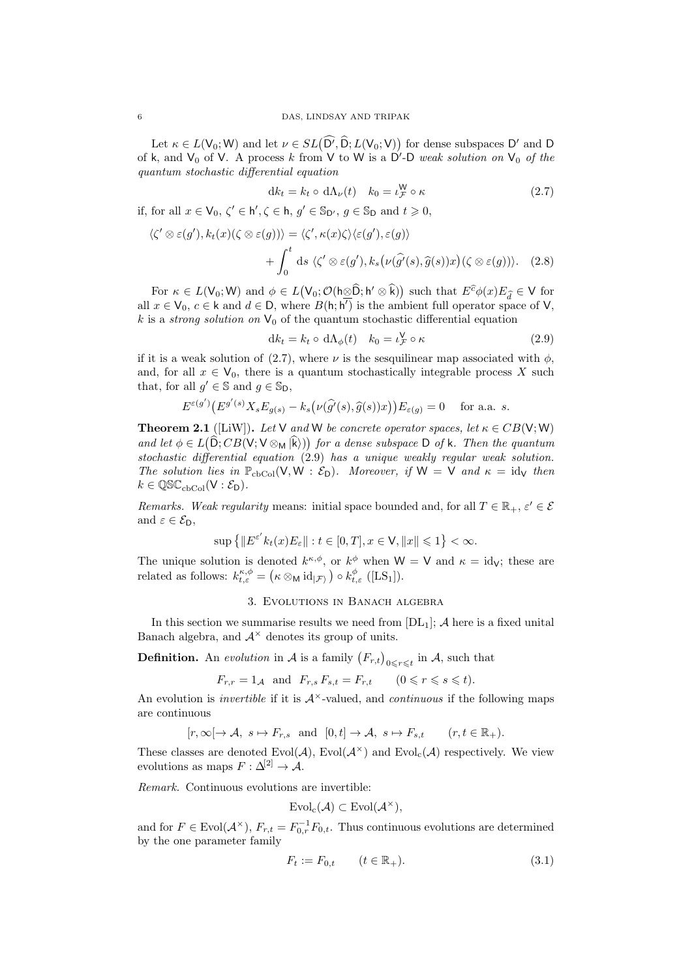Let  $\kappa \in L(V_0; W)$  and let  $\nu \in SL(D^7, D; L(V_0; V))$  for dense subspaces D' and D of k, and  $V_0$  of V. A process k from V to W is a D'-D weak solution on  $V_0$  of the quantum stochastic differential equation

$$
dk_t = k_t \circ d\Lambda_\nu(t) \quad k_0 = \iota_{\mathcal{F}}^{\mathsf{W}} \circ \kappa \tag{2.7}
$$

if, for all  $x \in V_0$ ,  $\zeta' \in h', \zeta \in h$ ,  $g' \in \mathbb{S}_{D'}$ ,  $g \in \mathbb{S}_{D}$  and  $t \geq 0$ ,

$$
\langle \zeta' \otimes \varepsilon(g'), k_t(x)(\zeta \otimes \varepsilon(g)) \rangle = \langle \zeta', \kappa(x)\zeta \rangle \langle \varepsilon(g'), \varepsilon(g) \rangle + \int_0^t ds \langle \zeta' \otimes \varepsilon(g'), k_s(\nu(\widehat{g'}(s), \widehat{g}(s))x)(\zeta \otimes \varepsilon(g)) \rangle.
$$
 (2.8)

For  $\kappa \in L(V_0; W)$  and  $\phi \in L(V_0; \mathcal{O}(\hbar \otimes \widehat{D}; \hbar' \otimes \widehat{k}))$  such that  $E^{\widehat{c}}\phi(x)E_{\widehat{d}} \in V$  for all  $x \in V_0$ ,  $c \in k$  and  $d \in D$ , where  $B(h; h')$  is the ambient full operator space of V, k is a strong solution on  $V_0$  of the quantum stochastic differential equation

$$
dk_t = k_t \circ d\Lambda_{\phi}(t) \quad k_0 = \iota_{\mathcal{F}}^{\mathsf{V}} \circ \kappa \tag{2.9}
$$

if it is a weak solution of (2.7), where  $\nu$  is the sesquilinear map associated with  $\phi$ , and, for all  $x \in V_0$ , there is a quantum stochastically integrable process X such that, for all  $g' \in \mathbb{S}$  and  $g \in \mathbb{S}_{\mathsf{D}}$ ,

$$
E^{\varepsilon(g')} \big( E^{g'(s)} X_s E_{g(s)} - k_s \big( \nu(\widehat{g'}(s), \widehat{g}(s))x \big) \big) E_{\varepsilon(g)} = 0 \quad \text{ for a.a. } s.
$$

**Theorem 2.1** ([LiW]). Let V and W be concrete operator spaces, let  $\kappa \in CB(V;W)$ and let  $\phi \in L(D; CB(V; V \otimes_M |k)))$  for a dense subspace D of k. Then the quantum stochastic differential equation (2.9) has a unique weakly regular weak solution. The solution lies in  $\mathbb{P}_{\text{cbcol}}(\mathsf{V}, \mathsf{W} : \mathcal{E}_{\mathsf{D}})$ . Moreover, if  $\mathsf{W} = \mathsf{V}$  and  $\kappa = \text{id}_{\mathsf{V}}$  then  $k \in \mathbb{Q} \mathbb{SC}_{\mathrm{cbCol}}(V : \mathcal{E}_{\mathrm{D}}).$ 

Remarks. Weak regularity means: initial space bounded and, for all  $T \in \mathbb{R}_+$ ,  $\varepsilon' \in \mathcal{E}$ and  $\varepsilon \in \mathcal{E}_{\mathsf{D}},$ 

$$
\sup\left\{\|E^{\varepsilon'}k_t(x)E_{\varepsilon}\|:t\in[0,T],x\in\mathsf{V},\|x\|\leqslant1\right\}<\infty.
$$

The unique solution is denoted  $k^{\kappa,\phi}$ , or  $k^{\phi}$  when  $W = V$  and  $\kappa = id_V$ ; these are related as follows:  $k_{t,\varepsilon}^{\kappa,\phi} = (\kappa \otimes_{\mathsf{M}} \mathrm{id}_{|\mathcal{F}}) \circ k_{t,\varepsilon}^{\phi}$  ([LS<sub>1</sub>]).

## 3. Evolutions in Banach algebra

In this section we summarise results we need from  $[DL_1]$ ; A here is a fixed unital Banach algebra, and  $A^{\times}$  denotes its group of units.

**Definition.** An evolution in  $\mathcal A$  is a family  $(F_{r,t})_{0 \leq r \leq t}$  in  $\mathcal A$ , such that

$$
F_{r,r} = 1_{\mathcal{A}} \quad \text{and} \quad F_{r,s} \, F_{s,t} = F_{r,t} \qquad (0 \leqslant r \leqslant s \leqslant t).
$$

An evolution is *invertible* if it is  $A^{\times}$ -valued, and *continuous* if the following maps are continuous

$$
[r, \infty[ \to \mathcal{A}, s \mapsto F_{r,s} \text{ and } [0, t] \to \mathcal{A}, s \mapsto F_{s,t} \quad (r, t \in \mathbb{R}_+).
$$

These classes are denoted  $Evol(\mathcal{A})$ ,  $Evol(\mathcal{A}^{\times})$  and  $Evol_{c}(\mathcal{A})$  respectively. We view evolutions as maps  $F: \Delta^{[2]} \to A$ .

Remark. Continuous evolutions are invertible:

$$
\mathrm{Evol}_{c}(\mathcal{A})\subset \mathrm{Evol}(\mathcal{A}^{\times}),
$$

and for  $F \in \text{Evol}(\mathcal{A}^{\times}), F_{r,t} = F_{0,r}^{-1}F_{0,t}$ . Thus continuous evolutions are determined by the one parameter family

$$
F_t := F_{0,t} \qquad (t \in \mathbb{R}_+). \tag{3.1}
$$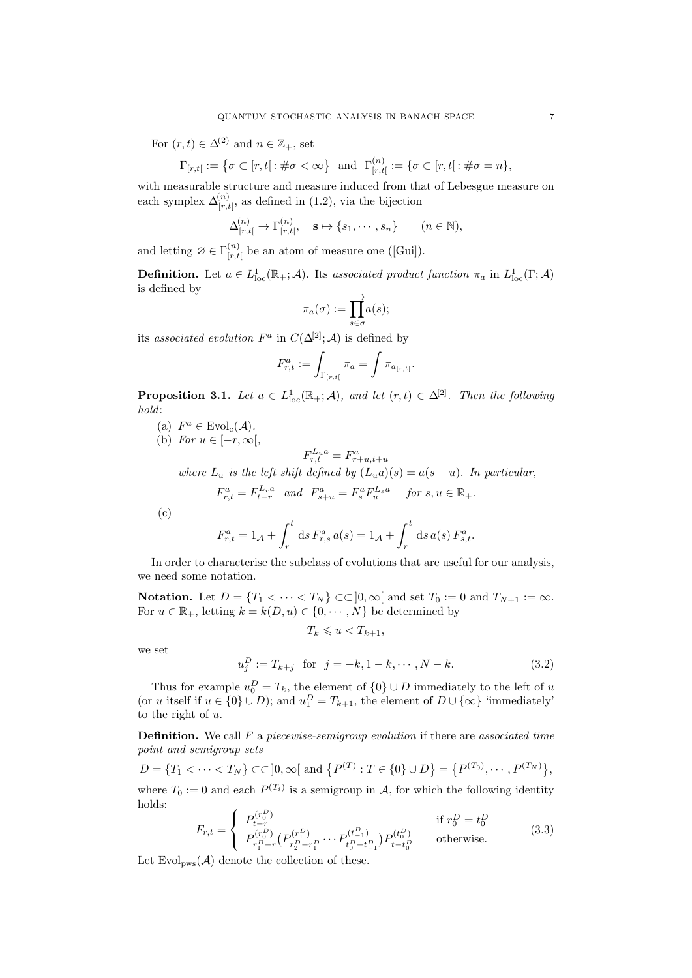For  $(r, t) \in \Delta^{(2)}$  and  $n \in \mathbb{Z}_+$ , set

$$
\Gamma_{[r,t]} := \left\{ \sigma \subset [r,t] : \#\sigma < \infty \right\} \text{ and } \Gamma_{[r,t]}^{(n)} := \left\{ \sigma \subset [r,t] : \#\sigma = n \right\},\
$$

with measurable structure and measure induced from that of Lebesgue measure on each symplex  $\Delta^{(n)}_{[r,t]}$ , as defined in (1.2), via the bijection

$$
\Delta^{(n)}_{[r,t[} \to \Gamma^{(n)}_{[r,t[}, \quad \mathbf{s} \mapsto \{s_1, \cdots, s_n\} \qquad (n \in \mathbb{N}),
$$

and letting  $\varnothing \in \Gamma^{(n)}_{[r,t]}$  $\binom{n}{r,t}$  be an atom of measure one ([Gui]).

**Definition.** Let  $a \in L^1_{loc}(\mathbb{R}_+;\mathcal{A})$ . Its associated product function  $\pi_a$  in  $L^1_{loc}(\Gamma;\mathcal{A})$ is defined by

$$
\pi_a(\sigma):=\overrightarrow{\prod\limits_{s\in\sigma}}a(s);
$$

its associated evolution  $F^a$  in  $C(\Delta^{[2]}; A)$  is defined by

$$
F_{r,t}^a := \int_{\Gamma[r,t[} \pi_a) = \int \pi_{a_{[r,t[}}.
$$

**Proposition 3.1.** Let  $a \in L^1_{loc}(\mathbb{R}_+;\mathcal{A})$ , and let  $(r,t) \in \Delta^{[2]}$ . Then the following hold:

- (a)  $F^a \in \text{Evol}_{\text{c}}(\mathcal{A})$ .
- (b) For  $u \in [-r, \infty[,$

$$
F_{r,t}^{L_u a} = F_{r+u,t+u}^a
$$

where  $L_u$  is the left shift defined by  $(L_u a)(s) = a(s+u)$ . In particular,

$$
F_{r,t}^a = F_{t-r}^{L_r a} \quad and \quad F_{s+u}^a = F_s^a F_u^{L_s a} \quad \text{ for } s, u \in \mathbb{R}_+.
$$

(c)

$$
F_{r,t}^a = 1_{\mathcal{A}} + \int_r^t ds F_{r,s}^a a(s) = 1_{\mathcal{A}} + \int_r^t ds a(s) F_{s,t}^a.
$$

In order to characterise the subclass of evolutions that are useful for our analysis, we need some notation.

Notation. Let  $D = \{T_1 < \cdots < T_N\} \subset \subset ]0,\infty[$  and set  $T_0 := 0$  and  $T_{N+1} := \infty$ . For  $u \in \mathbb{R}_+$ , letting  $k = k(D, u) \in \{0, \cdots, N\}$  be determined by

$$
T_k \leqslant u < T_{k+1},
$$

we set

$$
u_j^D := T_{k+j} \text{ for } j = -k, 1 - k, \cdots, N - k. \tag{3.2}
$$

Thus for example  $u_0^D = T_k$ , the element of  $\{0\} \cup D$  immediately to the left of u (or u itself if  $u \in \{0\} \cup D$ ); and  $u_1^D = T_{k+1}$ , the element of  $D \cup \{\infty\}$  'immediately' to the right of  $u$ .

**Definition.** We call  $F$  a piecewise-semigroup evolution if there are associated time point and semigroup sets

$$
D = \{T_1 < \cdots < T_N\} \subset \subset ]0, \infty[ \text{ and } \{P^{(T)} : T \in \{0\} \cup D\} = \{P^{(T_0)}, \cdots, P^{(T_N)}\},\
$$

where  $T_0 := 0$  and each  $P^{(T_i)}$  is a semigroup in A, for which the following identity holds:

$$
F_{r,t} = \begin{cases} P_{t-r}^{(r_0^D)} & \text{if } r_0^D = t_0^D\\ P_{r_1^D-r}^{(r_0^D)} \left( P_{r_2^D - r_1^D}^{(r_1^D)} \cdots P_{t_0^D - t_{-1}^D}^{(t_{-1}^D)} \right) P_{t-t_0^D}^{(t_0^D)} & \text{otherwise.} \end{cases}
$$
(3.3)

Let  $Evol_{\text{DWS}}(\mathcal{A})$  denote the collection of these.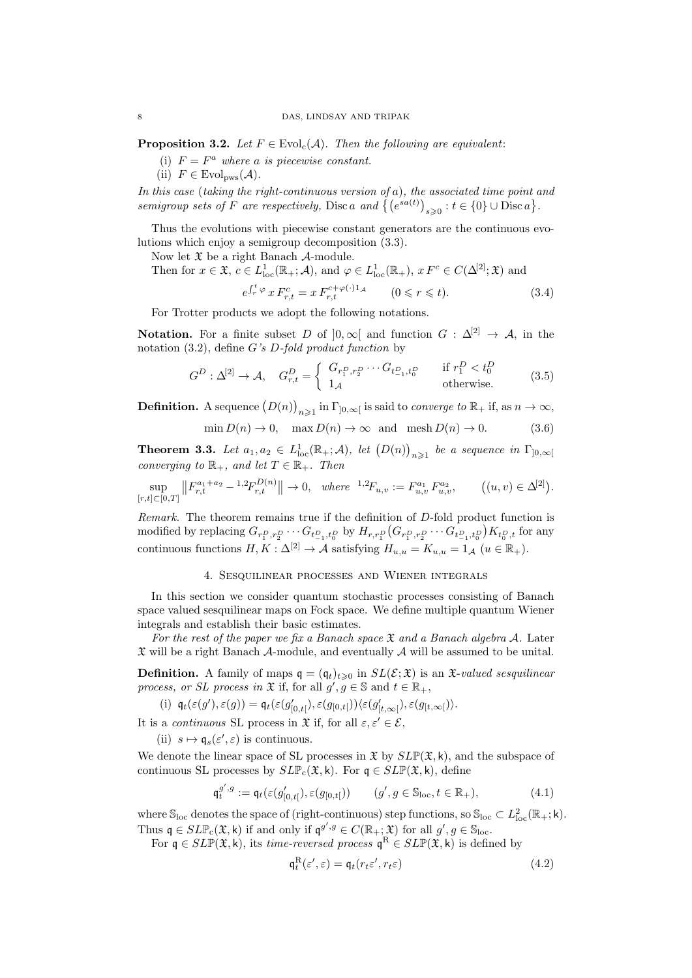**Proposition 3.2.** Let  $F \in \text{Evol}_{c}(\mathcal{A})$ . Then the following are equivalent:

- (i)  $F = F^a$  where a is piecewise constant.
- (ii)  $F \in \text{Evol}_{\text{DWS}}(\mathcal{A}).$

In this case (taking the right-continuous version of a), the associated time point and semigroup sets of F are respectively, Disc a and  $\{(e^{sa(t)})_{s\geqslant 0}: t \in \{0\} \cup \text{Disc } a\}.$ 

Thus the evolutions with piecewise constant generators are the continuous evolutions which enjoy a semigroup decomposition (3.3).

Now let  $\mathfrak X$  be a right Banach  $\mathcal A$ -module.

Then for 
$$
x \in \mathfrak{X}
$$
,  $c \in L_{loc}^{1}(\mathbb{R}_{+}; \mathcal{A})$ , and  $\varphi \in L_{loc}^{1}(\mathbb{R}_{+})$ ,  $x F^{c} \in C(\Delta^{[2]}; \mathfrak{X})$  and  

$$
e^{\int_{r}^{t} \varphi} x F_{r,t}^{c} = x F_{r,t}^{c+\varphi(\cdot)1_{\mathcal{A}}} \qquad (0 \leq r \leq t).
$$
 (3.4)

For Trotter products we adopt the following notations.

**Notation.** For a finite subset D of  $]0,\infty[$  and function  $G : \Delta^{[2]} \to \mathcal{A}$ , in the notation  $(3.2)$ , define G's D-fold product function by

$$
G^D: \Delta^{[2]} \to \mathcal{A}, \quad G^D_{r,t} = \left\{ \begin{array}{ll} G_{r_1^D, r_2^D} \cdots G_{t_{-1}^D, t_0^D} & \text{if } r_1^D < t_0^D\\ 1_{\mathcal{A}} & \text{otherwise.} \end{array} \right. \tag{3.5}
$$

**Definition.** A sequence  $(D(n))_{n\geq 1}$  in  $\Gamma_{]0,\infty[}$  is said to *converge to*  $\mathbb{R}_+$  if, as  $n \to \infty$ ,

$$
\min D(n) \to 0, \quad \max D(n) \to \infty \quad \text{and} \quad \text{mesh } D(n) \to 0. \tag{3.6}
$$

**Theorem 3.3.** Let  $a_1, a_2 \in L^1_{loc}(\mathbb{R}_+; \mathcal{A}),$  let  $(D(n))_{n \geq 1}$  be a sequence in  $\Gamma_{]0,\infty[}$ converging to  $\mathbb{R}_+$ , and let  $T \in \mathbb{R}_+$ . Then

$$
\sup_{[r,t]\subset[0,T]}\left\|F_{r,t}^{a_1+a_2}-^{1,2}F_{r,t}^{D(n)}\right\| \to 0, \quad where \quad ^{1,2}F_{u,v}:=F_{u,v}^{a_1}F_{u,v}^{a_2}, \qquad \left((u,v)\in\Delta^{[2]}\right).
$$

Remark. The theorem remains true if the definition of D-fold product function is modified by replacing  $G_{r_1^D, r_2^D} \cdots G_{t_{-1}^D, t_0^D}$  by  $H_{r,r_1^D}(G_{r_1^D, r_2^D} \cdots G_{t_{-1}^D, t_0^D})K_{t_0^D, t}$  for any continuous functions  $H, K : \Delta^{[2]} \to \mathcal{A}$  satisfying  $H_{u,u} = K_{u,u} = 1_{\mathcal{A}}$   $(u \in \mathbb{R}_+).$ 

### 4. Sesquilinear processes and Wiener integrals

In this section we consider quantum stochastic processes consisting of Banach space valued sesquilinear maps on Fock space. We define multiple quantum Wiener integrals and establish their basic estimates.

For the rest of the paper we fix a Banach space  $\mathfrak X$  and a Banach algebra A. Later  $\mathfrak X$  will be a right Banach A-module, and eventually A will be assumed to be unital.

**Definition.** A family of maps  $\mathfrak{q} = (\mathfrak{q}_t)_{t\geq 0}$  in  $SL(\mathcal{E}; \mathfrak{X})$  is an  $\mathfrak{X}\text{-}valued sesquilinear$ process, or SL process in  $\mathfrak X$  if, for all  $g', g \in \mathbb S$  and  $t \in \mathbb R_+$ ,

(i)  $\mathfrak{q}_t(\varepsilon(g'), \varepsilon(g)) = \mathfrak{q}_t(\varepsilon(g'_{[0,t[}), \varepsilon(g_{[0,t[}))\langle \varepsilon(g'_{[t,\infty[}), \varepsilon(g_{[t,\infty[}))\rangle))$ 

It is a *continuous* SL process in  $\mathfrak{X}$  if, for all  $\varepsilon, \varepsilon' \in \mathcal{E}$ ,

(ii)  $s \mapsto \mathfrak{q}_s(\varepsilon', \varepsilon)$  is continuous.

We denote the linear space of SL processes in  $\mathfrak{X}$  by  $SLP(\mathfrak{X}, k)$ , and the subspace of continuous SL processes by  $SLP_c(\mathfrak{X}, k)$ . For  $\mathfrak{q} \in SLP(\mathfrak{X}, k)$ , define

$$
\mathfrak{q}^{g',g}_t := \mathfrak{q}_t(\varepsilon(g'_{[0,t[}), \varepsilon(g_{[0,t[})) \qquad (g', g \in \mathbb{S}_{\mathrm{loc}}, t \in \mathbb{R}_+), \tag{4.1}
$$

where  $\mathbb{S}_{loc}$  denotes the space of (right-continuous) step functions, so  $\mathbb{S}_{loc} \subset L^2_{loc}(\mathbb{R}_+; \mathsf{k})$ . Thus  $\mathfrak{q} \in SLP_{c}(\mathfrak{X}, \mathsf{k})$  if and only if  $\mathfrak{q}^{g', g} \in C(\mathbb{R}_{+}; \mathfrak{X})$  for all  $g', g \in \mathbb{S}_{loc}$ .

For  $\mathfrak{q} \in SLP(\mathfrak{X}, \mathsf{k})$ , its time-reversed process  $\mathfrak{q}^{\mathbf{R}} \in SLP(\mathfrak{X}, \mathsf{k})$  is defined by

$$
\mathfrak{q}_t^{\mathrm{R}}(\varepsilon', \varepsilon) = \mathfrak{q}_t(r_t \varepsilon', r_t \varepsilon) \tag{4.2}
$$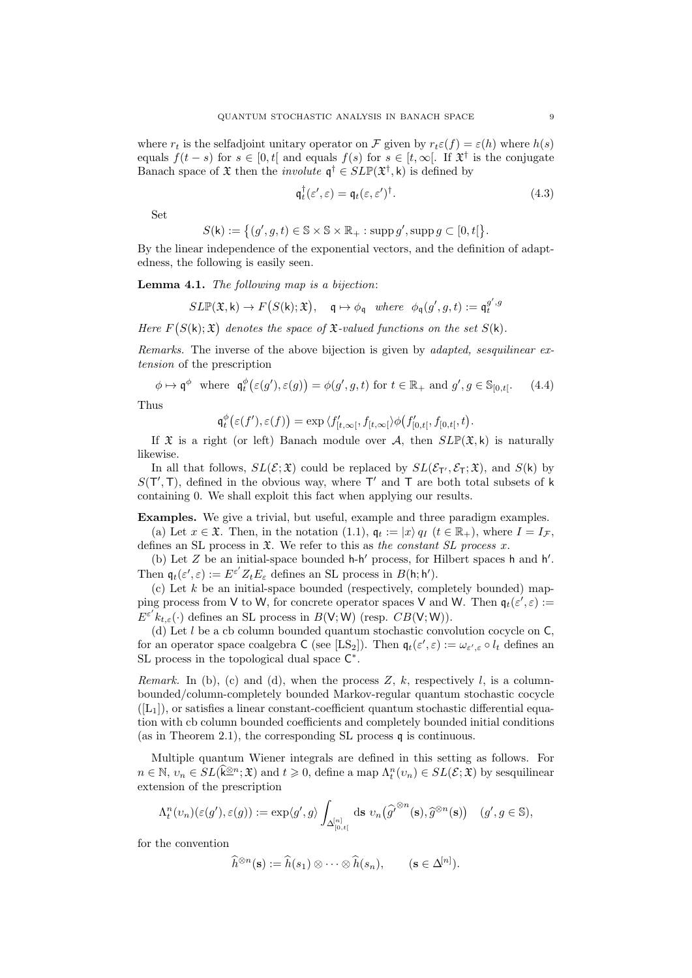where  $r_t$  is the selfadjoint unitary operator on F given by  $r_t \varepsilon(f) = \varepsilon(h)$  where  $h(s)$ equals  $f(t-s)$  for  $s \in [0,t]$  and equals  $f(s)$  for  $s \in [t,\infty]$ . If  $\mathfrak{X}^{\dagger}$  is the conjugate Banach space of  $\mathfrak X$  then the *involute*  $\mathfrak q^{\dagger} \in SLP(\mathfrak X^{\dagger}, \mathsf k)$  is defined by

$$
\mathfrak{q}_t^{\dagger}(\varepsilon', \varepsilon) = \mathfrak{q}_t(\varepsilon, \varepsilon')^{\dagger}.
$$
\n(4.3)

Set

$$
S(\mathsf{k}) := \big\{ (g', g, t) \in \mathbb{S} \times \mathbb{S} \times \mathbb{R}_+ : \operatorname{supp} g', \operatorname{supp} g \subset [0, t] \big\}.
$$

By the linear independence of the exponential vectors, and the definition of adaptedness, the following is easily seen.

Lemma 4.1. The following map is a bijection:

$$
\mathit{SLP}(\mathfrak X,k)\to F\bigl(S(\mathsf k);\mathfrak X\bigr),\quad \mathfrak q\mapsto \phi_\mathfrak q\quad \textit{where}\quad \phi_\mathfrak q(g',g,t):=\mathfrak q_t^{g',g}
$$

Here  $F(S(k); \mathfrak{X})$  denotes the space of  $\mathfrak{X}\text{-}valued$  functions on the set  $S(k)$ .

Remarks. The inverse of the above bijection is given by adapted, sesquilinear extension of the prescription

$$
\phi \mapsto \mathfrak{q}^{\phi} \text{ where } \mathfrak{q}_t^{\phi}(\varepsilon(g'), \varepsilon(g)) = \phi(g', g, t) \text{ for } t \in \mathbb{R}_+ \text{ and } g', g \in \mathbb{S}_{[0, t[}.\tag{4.4})
$$

Thus

$$
\mathfrak{q}_t^{\phi}(\varepsilon(f'), \varepsilon(f)) = \exp \langle f'_{[t,\infty[}, f_{[t,\infty[} \rangle \phi(f'_{[0,t[}, f_{[0,t[}, t).
$$

If  $\mathfrak X$  is a right (or left) Banach module over A, then  $SLP(\mathfrak X,k)$  is naturally likewise.

In all that follows,  $SL(\mathcal{E}; \mathfrak{X})$  could be replaced by  $SL(\mathcal{E}_{T}, \mathcal{E}_{T}; \mathfrak{X})$ , and  $S(k)$  by  $S(T', T)$ , defined in the obvious way, where T' and T are both total subsets of k containing 0. We shall exploit this fact when applying our results.

Examples. We give a trivial, but useful, example and three paradigm examples.

(a) Let  $x \in \mathfrak{X}$ . Then, in the notation (1.1),  $\mathfrak{q}_t := |x\rangle q_t$  ( $t \in \mathbb{R}_+$ ), where  $I = I_{\mathcal{F}}$ , defines an SL process in  $\mathfrak{X}$ . We refer to this as the constant SL process x.

(b) Let  $Z$  be an initial-space bounded  $h-h'$  process, for Hilbert spaces  $h$  and  $h'$ . Then  $\mathfrak{q}_t(\varepsilon', \varepsilon) := E^{\varepsilon'} Z_t E_{\varepsilon}$  defines an SL process in  $B(\mathsf{h}; \mathsf{h}').$ 

 $(c)$  Let k be an initial-space bounded (respectively, completely bounded) mapping process from V to W, for concrete operator spaces V and W. Then  $\mathfrak{q}_t(\varepsilon', \varepsilon) :=$  $E^{\varepsilon'} k_{t,\varepsilon}(\cdot)$  defines an SL process in  $B(\mathsf{V};\mathsf{W})$  (resp.  $CB(\mathsf{V};\mathsf{W})$ ).

(d) Let  $l$  be a cb column bounded quantum stochastic convolution cocycle on  $\mathsf{C}$ . for an operator space coalgebra  $C$  (see [LS<sub>2</sub>]). Then  $\mathfrak{q}_t(\varepsilon', \varepsilon) := \omega_{\varepsilon', \varepsilon} \circ l_t$  defines an SL process in the topological dual space  $C^*$ .

*Remark.* In (b), (c) and (d), when the process Z, k, respectively l, is a columnbounded/column-completely bounded Markov-regular quantum stochastic cocycle  $([L_1])$ , or satisfies a linear constant-coefficient quantum stochastic differential equation with cb column bounded coefficients and completely bounded initial conditions (as in Theorem 2.1), the corresponding SL process q is continuous.

Multiple quantum Wiener integrals are defined in this setting as follows. For  $n \in \mathbb{N}, v_n \in SL(\widehat{\mathbf{k}}^{\otimes n}; \mathfrak{X})$  and  $t \geq 0$ , define a map  $\Lambda_t^n(v_n) \in SL(\mathcal{E}; \mathfrak{X})$  by sesquilinear extension of the prescription

$$
\Lambda_t^n(\upsilon_n)(\varepsilon(g'),\varepsilon(g)):=\exp\langle g',g\rangle\int_{\Delta^{[n]}_{[0,t[}}\mathrm{d} s\; \upsilon_n\big(\widehat{g'}^{\otimes n}(\mathbf{s}),\widehat{g}^{\otimes n}(\mathbf{s})\big)\quad (g',g\in\mathbb{S}),
$$

for the convention

$$
\widehat{h}^{\otimes n}(\mathbf{s}) := \widehat{h}(s_1) \otimes \cdots \otimes \widehat{h}(s_n), \qquad (\mathbf{s} \in \Delta^{[n]}).
$$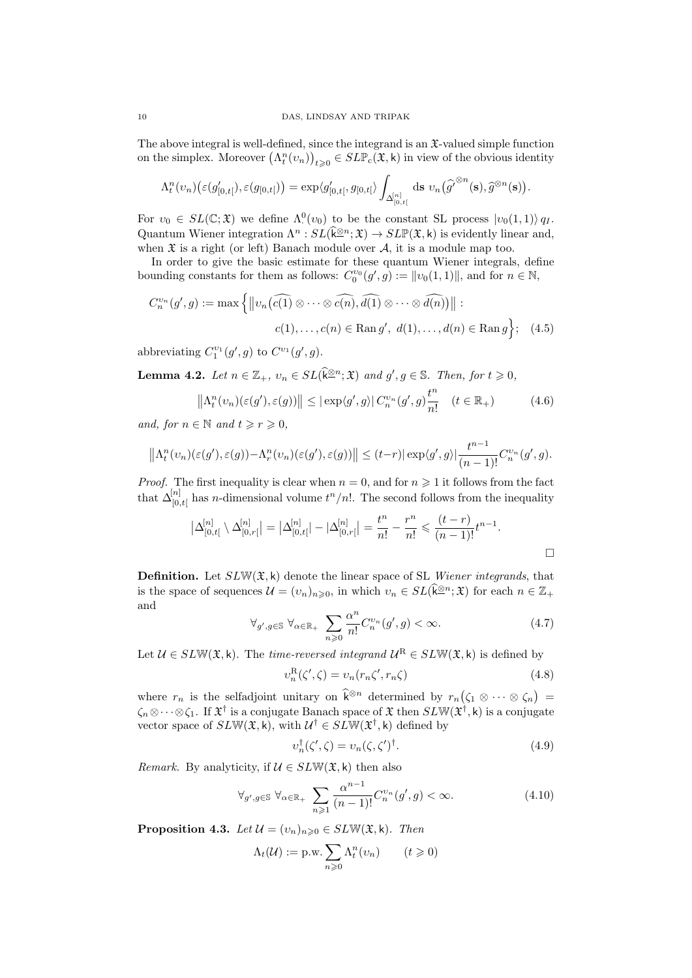The above integral is well-defined, since the integrand is an  $\mathfrak{X}\text{-}\mathrm{valued}$  simple function on the simplex. Moreover  $(\Lambda_t^n(v_n))_{t\geqslant 0} \in SLP_c(\mathfrak{X}, k)$  in view of the obvious identity

$$
\Lambda_t^n(v_n)\big(\varepsilon(g'_{[0,t[}), \varepsilon(g_{[0,t[})\big) = \exp\langle g'_{[0,t[}, g_{[0,t[}\rangle \int_{\Delta_{[0,t[}^{[n]}} ds \, v_n\big(\widehat{g'}^{\otimes n}(\mathbf{s}), \widehat{g}^{\otimes n}(\mathbf{s})\big).
$$

For  $v_0 \in SL(\mathbb{C}; \mathfrak{X})$  we define  $\Lambda^0(v_0)$  to be the constant SL process  $|v_0(1,1)\rangle q_I$ . Quantum Wiener integration  $\Lambda^n : SL(\widehat{k}^{\otimes n}; \mathfrak{X}) \to SL(\mathfrak{X}, \mathsf{k})$  is evidently linear and, when  $\mathfrak X$  is a right (or left) Banach module over  $\mathcal A$ , it is a module map too.

In order to give the basic estimate for these quantum Wiener integrals, define bounding constants for them as follows:  $C_0^{v_0}(g', g) := ||v_0(1, 1)||$ , and for  $n \in \mathbb{N}$ ,

$$
C_n^{v_n}(g', g) := \max \left\{ \left\| v_n\left(\widehat{c(1)} \otimes \cdots \otimes \widehat{c(n)}, \widehat{d(1)} \otimes \cdots \otimes \widehat{d(n)}\right) \right\| : \\ c(1), \dots, c(n) \in \operatorname{Ran} g', \ d(1), \dots, d(n) \in \operatorname{Ran} g \right\}; \tag{4.5}
$$

abbreviating  $C_1^{\nu_1}(g',g)$  to  $C^{\nu_1}(g',g)$ .

**Lemma 4.2.** Let  $n \in \mathbb{Z}_+$ ,  $v_n \in SL(\widehat{k}^{\otimes n}; \mathfrak{X})$  and  $g', g \in \mathbb{S}$ . Then, for  $t \geq 0$ ,

$$
\left\| \Lambda_t^n(v_n)(\varepsilon(g'), \varepsilon(g)) \right\| \leq |\exp\langle g', g \rangle| C_n^{v_n}(g', g) \frac{t^n}{n!} \quad (t \in \mathbb{R}_+) \tag{4.6}
$$

and, for  $n \in \mathbb{N}$  and  $t \geq r \geq 0$ ,

$$
\left\|\Lambda_t^n(v_n)(\varepsilon(g'), \varepsilon(g)) - \Lambda_r^n(v_n)(\varepsilon(g'), \varepsilon(g))\right\| \le (t-r) |\exp\langle g', g \rangle| \frac{t^{n-1}}{(n-1)!} C_n^{v_n}(g', g).
$$

*Proof.* The first inequality is clear when  $n = 0$ , and for  $n \ge 1$  it follows from the fact that  $\Delta_{[0,t]}^{[n]}$  has *n*-dimensional volume  $t^n/n!$ . The second follows from the inequality

$$
\left|\Delta_{[0,t[}^{[n]}\setminus \Delta_{[0,r[}^{[n]}]=\left|\Delta_{[0,t[}^{[n]}|-|\Delta_{[0,r[}^{[n]}]=\frac{t^n}{n!}-\frac{r^n}{n!}\leqslant \frac{(t-r)}{(n-1)!}t^{n-1}.\right.\right.
$$

**Definition.** Let  $SLW(\mathfrak{X}, k)$  denote the linear space of SL Wiener integrands, that is the space of sequences  $\mathcal{U} = (v_n)_{n \geqslant 0}$ , in which  $v_n \in SL(\widetilde{k}^{\underline{\otimes} n}; \mathfrak{X})$  for each  $n \in \mathbb{Z}_+$ and

$$
\forall g', g \in \mathbb{S} \ \forall \alpha \in \mathbb{R}_+ \sum_{n \geq 0} \frac{\alpha^n}{n!} C_n^{\nu_n}(g', g) < \infty. \tag{4.7}
$$

Let  $U \in SLW(\mathfrak{X}, \mathsf{k})$ . The time-reversed integrand  $U^{\mathcal{R}} \in SLW(\mathfrak{X}, \mathsf{k})$  is defined by

$$
v_n^{\mathcal{R}}(\zeta', \zeta) = v_n(r_n\zeta', r_n\zeta)
$$
\n(4.8)

where  $r_n$  is the selfadjoint unitary on  $\hat{k}^{\otimes n}$  determined by  $r_n(\zeta_1 \otimes \cdots \otimes \zeta_n)$  $\zeta_n\otimes\cdots\otimes\zeta_1$ . If  $\mathfrak{X}^\dagger$  is a conjugate Banach space of  $\mathfrak{X}$  then  $SLW(\mathfrak{X}^\dagger,k)$  is a conjugate vector space of  $SLW(\mathfrak{X}, \mathsf{k})$ , with  $\mathcal{U}^{\dagger} \in SLW(\mathfrak{X}^{\dagger}, \mathsf{k})$  defined by

$$
v_n^{\dagger}(\zeta', \zeta) = v_n(\zeta, \zeta')^{\dagger}.
$$
\n(4.9)

*Remark.* By analyticity, if  $\mathcal{U} \in SLW(\mathfrak{X}, \mathsf{k})$  then also

$$
\forall_{g',g \in \mathbb{S}} \ \forall_{\alpha \in \mathbb{R}_+} \ \sum_{n \geqslant 1} \frac{\alpha^{n-1}}{(n-1)!} C_n^{v_n}(g', g) < \infty. \tag{4.10}
$$

**Proposition 4.3.** Let  $\mathcal{U} = (v_n)_{n \geq 0} \in SLW(\mathfrak{X}, \mathsf{k})$ . Then

$$
\Lambda_t(\mathcal{U}) := \text{p.w.} \sum_{n \geq 0} \Lambda_t^n(v_n) \qquad (t \geq 0)
$$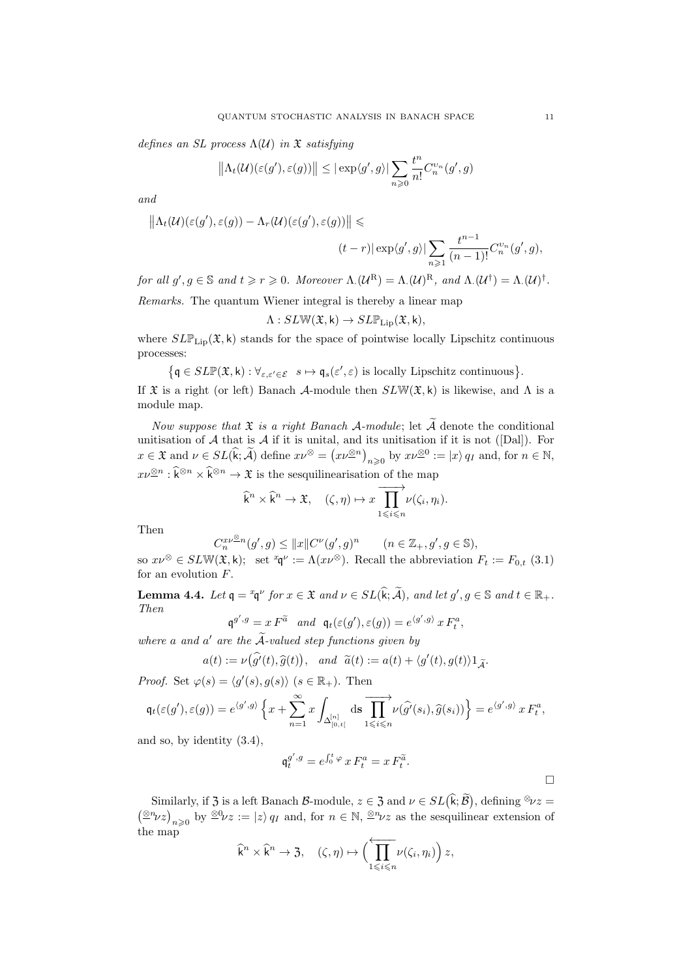defines an SL process  $\Lambda(\mathcal{U})$  in  $\mathfrak X$  satisfying

$$
\left\|\Lambda_t(\mathcal{U})(\varepsilon(g'),\varepsilon(g))\right\| \leq |\exp\langle g',g\rangle| \sum_{n\geqslant 0} \frac{t^n}{n!}C_n^{v_n}(g',g)
$$

and

$$
||\Lambda_t(\mathcal{U})(\varepsilon(g'), \varepsilon(g)) - \Lambda_r(\mathcal{U})(\varepsilon(g'), \varepsilon(g))|| \leq (t-r) |\exp\langle g', g \rangle| \sum_{n \geq 1} \frac{t^{n-1}}{(n-1)!} C_n^{v_n}(g', g),
$$

for all  $g', g \in \mathbb{S}$  and  $t \geq r \geq 0$ . Moreover  $\Lambda.(\mathcal{U}^{\mathcal{R}}) = \Lambda.(\mathcal{U})^{\mathcal{R}}$ , and  $\Lambda.(\mathcal{U}^{\dagger}) = \Lambda.(\mathcal{U})^{\dagger}$ .

Remarks. The quantum Wiener integral is thereby a linear map

$$
\Lambda: SL\mathbb{W}(\mathfrak{X},\mathsf{k})\to SL\mathbb{P}_{\mathrm{Lip}}(\mathfrak{X},\mathsf{k}),
$$

where  $SLP_{\text{Lip}}(\mathfrak{X}, k)$  stands for the space of pointwise locally Lipschitz continuous processes:

 $\{\mathfrak{q} \in SL\mathbb{P}(\mathfrak{X}, \mathsf{k}) : \forall_{\varepsilon,\varepsilon' \in \mathcal{E}} s \mapsto \mathfrak{q}_s(\varepsilon', \varepsilon) \text{ is locally Lipschitz continuous}\}.$ 

If  $\mathfrak X$  is a right (or left) Banach A-module then  $SLW(\mathfrak X,k)$  is likewise, and  $\Lambda$  is a module map.

Now suppose that  $\mathfrak X$  is a right Banach A-module; let  $\widetilde{\mathcal A}$  denote the conditional unitisation of  $A$  that is  $A$  if it is unital, and its unitisation if it is not ([Dal]). For  $x \in \mathfrak{X}$  and  $\nu \in SL(\widehat{\mathsf{k}}; \widetilde{\mathcal{A}})$  define  $x\nu^{\otimes} = (x\nu^{\otimes n})_{n \geqslant 0}$  by  $x\nu^{\otimes 0} := |x\rangle q_I$  and, for  $n \in \mathbb{N}$ ,  $x\nu^{\otimes n} : \widehat{\mathsf{k}}^{\otimes n} \times \widehat{\mathsf{k}}^{\otimes n} \to \mathfrak{X}$  is the sesquilinearisation of the map

$$
\widehat{\mathsf{k}}^n \times \widehat{\mathsf{k}}^n \to \mathfrak{X}, \quad (\zeta, \eta) \mapsto x \overrightarrow{\prod_{1 \leqslant i \leqslant n}} \nu(\zeta_i, \eta_i).
$$

Then

$$
C_n^{x\nu\otimes n}(g',g)\leq \|x\|C^\nu(g',g)^n\qquad (n\in\mathbb{Z}_+,g',g\in\mathbb{S}),
$$

so  $x\nu^{\otimes} \in SLW(\mathfrak{X},\mathsf{k})$ ; set  $^x \mathfrak{q}^{\nu} := \Lambda(x\nu^{\otimes})$ . Recall the abbreviation  $F_t := F_{0,t}$  (3.1) for an evolution F.

**Lemma 4.4.** Let  $\mathfrak{q} = {}^x\mathfrak{q}^\nu$  for  $x \in \mathfrak{X}$  and  $\nu \in SL(\widehat{\mathsf{k}}; \widetilde{\mathcal{A}})$ , and let  $g', g \in \mathbb{S}$  and  $t \in \mathbb{R}_+$ . Then

$$
\mathfrak{q}^{g',g} = x F^{\widetilde{a}} \quad \text{and} \quad \mathfrak{q}_t(\varepsilon(g'), \varepsilon(g)) = e^{\langle g', g \rangle} x F_t^a,
$$

where a and  $a'$  are the  $\tilde{A}$ -valued step functions given by

$$
a(t) := \nu(\widehat{g'}(t), \widehat{g}(t)), \text{ and } \widetilde{a}(t) := a(t) + \langle g'(t), g(t) \rangle 1_{\widetilde{\mathcal{A}}}.
$$

*Proof.* Set  $\varphi(s) = \langle g'(s), g(s) \rangle$   $(s \in \mathbb{R}_+$ . Then

$$
\mathfrak{q}_t(\varepsilon(g'),\varepsilon(g))=e^{\langle g',g\rangle}\left\{x+\sum_{n=1}^\infty x\int_{\Delta^{[n]}_{[0,t[}}\mathrm{d}s\overrightarrow{\prod_{1\leqslant i\leqslant n}}\nu(\widehat{g'}(s_i),\widehat{g}(s_i))\right\}=e^{\langle g',g\rangle}\,x\,F^a_t,
$$

and so, by identity (3.4),

$$
\mathfrak{q}_t^{g',g} = e^{\int_0^t \varphi} x F_t^a = x F_t^{\widetilde{a}}.
$$

 $\Box$ 

Similarly, if  $\mathfrak{Z}$  is a left Banach  $\mathcal{B}\text{-module}$ ,  $z \in \mathfrak{Z}$  and  $\nu \in SL(\mathbf{k}; \mathcal{B})$ , defining  $\mathcal{Z} \times \mathcal{Z} =$  $\left(\frac{\partial n}{\partial z}\right)_{n\geqslant 0}$  by  $\frac{\partial n}{\partial z} := |z\rangle q_I$  and, for  $n \in \mathbb{N}$ ,  $\frac{\partial n}{\partial z}$  as the sesquilinear extension of the map

$$
\widehat{k}^n \times \widehat{k}^n \to \mathfrak{Z}, \quad (\zeta, \eta) \mapsto \Bigl(\prod_{1 \leq i \leq n} \nu(\zeta_i, \eta_i)\Bigr) z,
$$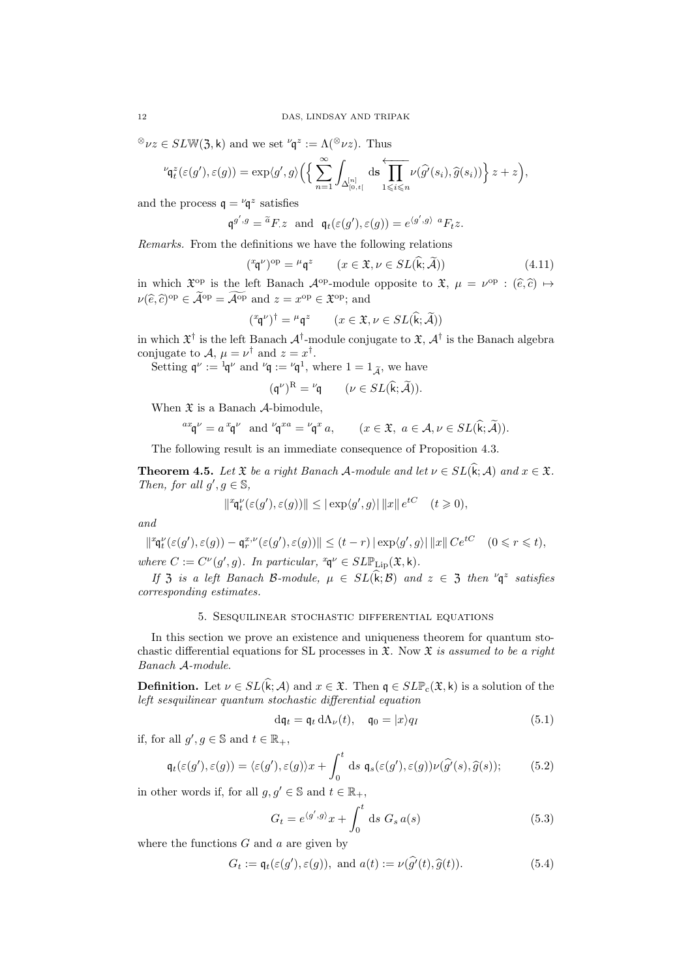$^{\otimes}\nu z \in SLW(3, \mathsf{k})$  and we set  $^{\nu}\mathsf{q}^z := \Lambda({}^{\otimes}\nu z)$ . Thus

$$
{}^{\nu}\!\mathfrak{q}_t^z(\varepsilon(g'),\varepsilon(g))=\exp\langle g',g\rangle\Big(\Big\{\sum_{n=1}^{\infty}\int_{\Delta^{[n]}_{[0,t[}}\mathrm{d} s\prod_{1\leqslant i\leqslant n}^{\longleftarrow}\nu(\widehat{g'}(s_i),\widehat{g}(s_i))\Big\}\,z+z\Big),
$$

and the process  $\mathfrak{q} = {}^{\nu} \mathfrak{q}^z$  satisfies

$$
\mathfrak{q}^{g',g} = \tilde{a}F.z
$$
 and  $\mathfrak{q}_t(\varepsilon(g'), \varepsilon(g)) = e^{\langle g', g \rangle}{}^aF_tz$ .

Remarks. From the definitions we have the following relations

$$
({}^{x}\mathfrak{q}^{\nu})^{\text{op}} = {}^{\mu}\mathfrak{q}^{z} \qquad (x \in \mathfrak{X}, \nu \in SL(\widehat{\mathfrak{k}}; \widetilde{\mathcal{A}})) \tag{4.11}
$$

in which  $\mathfrak{X}^{\mathrm{op}}$  is the left Banach  $\mathcal{A}^{\mathrm{op}}$ -module opposite to  $\mathfrak{X}, \mu = \nu^{\mathrm{op}} : (\hat{e}, \hat{c}) \mapsto$  $\nu(\widehat{e}, \widehat{c})^{\text{op}} \in \widehat{\mathcal{A}}^{\text{op}} = \widehat{\mathcal{A}}^{\text{op}}$  and  $z = x^{\text{op}} \in \mathfrak{X}^{\text{op}}$ ; and

$$
({}^{x}\mathsf{q}^{\nu})^{\dagger} = {}^{\mu}\mathsf{q}^{z} \qquad (x \in \mathfrak{X}, \nu \in SL(\widehat{\mathsf{k}}; \widetilde{\mathcal{A}}))
$$

in which  $\mathfrak{X}^\dagger$  is the left Banach  $\mathcal{A}^\dagger$ -module conjugate to  $\mathfrak{X},$   $\mathcal{A}^\dagger$  is the Banach algebra conjugate to  $\mathcal{A}, \mu = \nu^{\dagger}$  and  $z = x^{\dagger}$ .

Setting  $\mathfrak{q}^{\nu} := \mathfrak{q}^{\nu}$  and  $\mathfrak{q} := \mathfrak{q}^1$ , where  $1 = 1_{\tilde{\mathcal{A}}}$ , we have

$$
(\mathfrak{q}^{\nu})^{\mathrm{R}} = {}^{\nu}\mathfrak{q} \qquad (\nu \in SL(\widehat{\mathsf{k}}; \widetilde{\mathcal{A}})).
$$

When  $\mathfrak X$  is a Banach  $\mathcal A$ -bimodule,

$$
{}^{ax}\mathfrak{q}^{\nu} = a^x\mathfrak{q}^{\nu}
$$
 and  ${}^{\nu}\mathfrak{q}^{xa} = {}^{\nu}\mathfrak{q}^x a$ ,  $(x \in \mathfrak{X}, a \in \mathcal{A}, \nu \in SL(\widehat{k}; \widetilde{\mathcal{A}})).$ 

The following result is an immediate consequence of Proposition 4.3.

**Theorem 4.5.** Let  $\mathfrak{X}$  be a right Banach A-module and let  $\nu \in SL(\widehat{\mathbf{k}}; \mathcal{A})$  and  $x \in \mathfrak{X}$ . Then, for all  $g', g \in \mathbb{S}$ ,

$$
\left|\mathbf{P}_{\mathbf{q}_t}^{\nu}(\varepsilon(g'), \varepsilon(g))\right\| \leq |\exp\langle g', g \rangle| \left\|x\right\| e^{tC} \quad (t \geq 0),
$$

and

$$
\|{}^{x}\mathsf{q}^{\nu}_{t}(\varepsilon(g'), \varepsilon(g)) - \mathsf{q}^{x,\nu}_{r}(\varepsilon(g'), \varepsilon(g))\| \leq (t-r) \left|\exp\langle g', g \rangle\right| \|x\| \, C e^{tC} \quad (0 \leq r \leq t),
$$
  
where  $C := C^{\nu}(g', g)$ . In particular,  ${}^{x}\mathsf{q}^{\nu} \in SL\mathbb{P}_{\text{Lip}}(\mathfrak{X}, k)$ .

If  $\mathfrak{Z}$  is a left Banach B-module,  $\mu \in SL(\mathbf{k}; \mathcal{B})$  and  $z \in \mathfrak{Z}$  then  $\mathfrak{Y}_{\mathbf{q}}^z$  satisfies corresponding estimates.

# 5. Sesquilinear stochastic differential equations

In this section we prove an existence and uniqueness theorem for quantum stochastic differential equations for SL processes in  $\mathfrak{X}$ . Now  $\mathfrak{X}$  is assumed to be a right Banach A-module.

**Definition.** Let  $\nu \in SL(\hat{k}; \mathcal{A})$  and  $x \in \mathfrak{X}$ . Then  $\mathfrak{q} \in SL\mathbb{P}_{c}(\mathfrak{X}, \mathsf{k})$  is a solution of the left sesquilinear quantum stochastic differential equation

$$
d\mathfrak{q}_t = \mathfrak{q}_t d\Lambda_\nu(t), \quad \mathfrak{q}_0 = |x\rangle q_I \tag{5.1}
$$

if, for all  $g', g \in \mathbb{S}$  and  $t \in \mathbb{R}_+$ ,

$$
\mathfrak{q}_t(\varepsilon(g'), \varepsilon(g)) = \langle \varepsilon(g'), \varepsilon(g) \rangle x + \int_0^t \mathrm{d}s \; \mathfrak{q}_s(\varepsilon(g'), \varepsilon(g)) \nu(\widehat{g'}(s), \widehat{g}(s)); \tag{5.2}
$$

in other words if, for all  $g, g' \in \mathbb{S}$  and  $t \in \mathbb{R}_+$ ,

$$
G_t = e^{\langle g', g \rangle} x + \int_0^t \mathrm{d}s \; G_s \, a(s) \tag{5.3}
$$

where the functions  $G$  and  $a$  are given by

$$
G_t := \mathfrak{q}_t(\varepsilon(g'), \varepsilon(g)), \text{ and } a(t) := \nu(\widehat{g'}(t), \widehat{g}(t)).
$$
\n(5.4)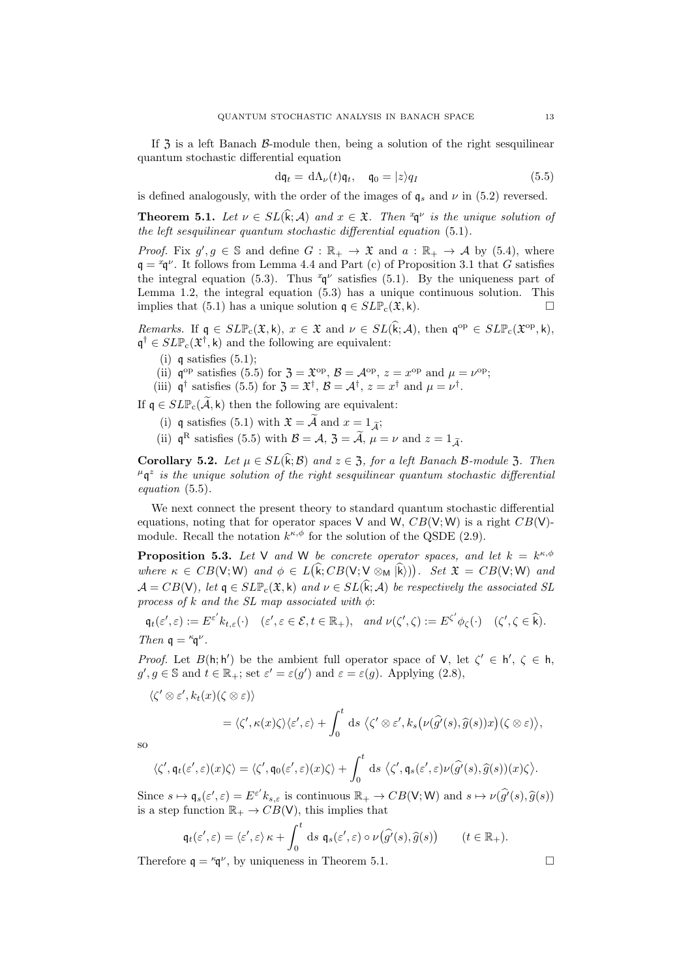If  $\overline{3}$  is a left Banach  $\beta$ -module then, being a solution of the right sesquilinear quantum stochastic differential equation

$$
d\mathfrak{q}_t = d\Lambda_\nu(t)\mathfrak{q}_t, \quad \mathfrak{q}_0 = |z\rangle q_I \tag{5.5}
$$

is defined analogously, with the order of the images of  $q_s$  and  $\nu$  in (5.2) reversed.

**Theorem 5.1.** Let  $\nu \in SL(\mathbf{k}; \mathcal{A})$  and  $x \in \mathfrak{X}$ . Then  $\mathfrak{q}^{\nu}$  is the unique solution of the left sesquilinear quantum stochastic differential equation (5.1).

*Proof.* Fix  $g'$ ,  $g \in \mathbb{S}$  and define  $G : \mathbb{R}_+ \to \mathfrak{X}$  and  $a : \mathbb{R}_+ \to \mathcal{A}$  by (5.4), where  $q = \alpha q^{\nu}$ . It follows from Lemma 4.4 and Part (c) of Proposition 3.1 that G satisfies the integral equation (5.3). Thus  $^x\mathfrak{q}^\nu$  satisfies (5.1). By the uniqueness part of Lemma 1.2, the integral equation (5.3) has a unique continuous solution. This implies that (5.1) has a unique solution  $\mathfrak{q} \in SLP_c(\mathfrak{X}, \mathsf{k})$ .

Remarks. If  $\mathfrak{q} \in SL\mathbb{P}_{c}(\mathfrak{X}, \mathsf{k}), x \in \mathfrak{X}$  and  $\nu \in SL(\widehat{\mathsf{k}}; \mathcal{A}),$  then  $\mathfrak{q}^{\text{op}} \in SL\mathbb{P}_{c}(\mathfrak{X}^{\text{op}}, \mathsf{k}),$  $\mathfrak{q}^{\dagger} \in SLP_{c}(\mathfrak{X}^{\dagger}, \mathsf{k})$  and the following are equivalent:

- (i) q satisfies  $(5.1)$ ;
- (ii)  $\mathfrak{q}^{\text{op}}$  satisfies (5.5) for  $\mathfrak{Z} = \mathfrak{X}^{\text{op}}, \mathcal{B} = \mathcal{A}^{\text{op}}, z = x^{\text{op}}$  and  $\mu = \nu^{\text{op}};$

(iii)  $\mathfrak{q}^{\dagger}$  satisfies (5.5) for  $\mathfrak{Z} = \mathfrak{X}^{\dagger}, \mathfrak{B} = \mathcal{A}^{\dagger}, z = x^{\dagger}$  and  $\mu = \nu^{\dagger}$ .

If  $\mathfrak{q} \in SLP_{c}(\widetilde{A}, \mathsf{k})$  then the following are equivalent:

- (i) q satisfies (5.1) with  $\mathfrak{X} = \widetilde{\mathcal{A}}$  and  $x = 1_{\widetilde{\mathcal{A}}}$ ;
- (ii)  $\mathfrak{q}^{\mathbb{R}}$  satisfies (5.5) with  $\mathcal{B} = \mathcal{A}$ ,  $\mathcal{J} = \mathcal{A}$ ,  $\mu = \nu$  and  $z = 1_{\tilde{\mathcal{A}}}$ .

Corollary 5.2. Let  $\mu \in SL(\widehat{\mathfrak{k}};\mathcal{B})$  and  $z \in \mathfrak{Z}$ , for a left Banach B-module 3. Then  $\mu$ q<sup>z</sup> is the unique solution of the right sesquilinear quantum stochastic differential equation (5.5).

We next connect the present theory to standard quantum stochastic differential equations, noting that for operator spaces V and W,  $CB(V;W)$  is a right  $CB(V)$ module. Recall the notation  $k^{\kappa,\phi}$  for the solution of the QSDE (2.9).

**Proposition 5.3.** Let V and W be concrete operator spaces, and let  $k = k^{\kappa, \phi}$ where  $\kappa \in CB(\mathsf{V}; \mathsf{W})$  and  $\phi \in L(\hat{\mathsf{k}}; CB(\mathsf{V}; \mathsf{V} \otimes_{\mathsf{M}} |\hat{\mathsf{k}}))$ . Set  $\mathfrak{X} = CB(\mathsf{V}; \mathsf{W})$  and  $\mathcal{A} = CB(V)$ , let  $\mathfrak{q} \in SL\mathbb{P}_{c}(\mathfrak{X}, \mathsf{k})$  and  $\nu \in SL(\widehat{\mathsf{k}}; \mathcal{A})$  be respectively the associated SL process of k and the SL map associated with  $\phi$ :

$$
\mathfrak{q}_t(\varepsilon', \varepsilon) := E^{\varepsilon'} k_{t,\varepsilon}(\cdot) \quad (\varepsilon', \varepsilon \in \mathcal{E}, t \in \mathbb{R}_+), \quad \text{and } \nu(\zeta', \zeta) := E^{\zeta'} \phi_{\zeta}(\cdot) \quad (\zeta', \zeta \in \widehat{k}).
$$
  
Then  $\mathfrak{q} = \mathfrak{r} \mathfrak{q}^{\nu}$ .

*Proof.* Let  $B(h; h')$  be the ambient full operator space of V, let  $\zeta' \in h'$ ,  $\zeta \in h$ ,  $g', g \in \mathbb{S}$  and  $t \in \mathbb{R}_+$ ; set  $\varepsilon' = \varepsilon(g')$  and  $\varepsilon = \varepsilon(g)$ . Applying (2.8),

$$
\langle \otimes \varepsilon', k_t(x)(\zeta \otimes \varepsilon) \rangle
$$
  
=  $\langle \zeta', \kappa(x)\zeta \rangle \langle \varepsilon', \varepsilon \rangle + \int_0^t ds \langle \zeta' \otimes \varepsilon', k_s(\nu(\widehat{g'}(s), \widehat{g}(s))x)(\zeta \otimes \varepsilon) \rangle,$ 

so

 $\langle \zeta$ 

$$
\langle \zeta', \mathfrak{q}_t(\varepsilon', \varepsilon)(x)\zeta \rangle = \langle \zeta', \mathfrak{q}_0(\varepsilon', \varepsilon)(x)\zeta \rangle + \int_0^t \mathrm{d}s \, \langle \zeta', \mathfrak{q}_s(\varepsilon', \varepsilon)\nu(\widehat{g'}(s), \widehat{g}(s))(x)\zeta \rangle.
$$

Since  $s \mapsto q_s(\varepsilon', \varepsilon) = E^{\varepsilon'} k_{s,\varepsilon}$  is continuous  $\mathbb{R}_+ \to CB(V; W)$  and  $s \mapsto \nu(\hat{g'}(s), \hat{g}(s))$ <br>is a step function  $\mathbb{R}_+ \to CR(V)$  this implies that is a step function  $\mathbb{R}_+ \to CB(V)$ , this implies that

$$
\mathfrak{q}_t(\varepsilon',\varepsilon)=\langle \varepsilon',\varepsilon\rangle\,\kappa+\int_0^t\,\mathrm{d} s\;\mathfrak{q}_s(\varepsilon',\varepsilon)\circ\nu\big(\widehat{g'}(s),\widehat{g}(s)\big)\qquad(t\in\mathbb{R}_+).
$$

Therefore  $q = \kappa q^{\nu}$ , by uniqueness in Theorem 5.1.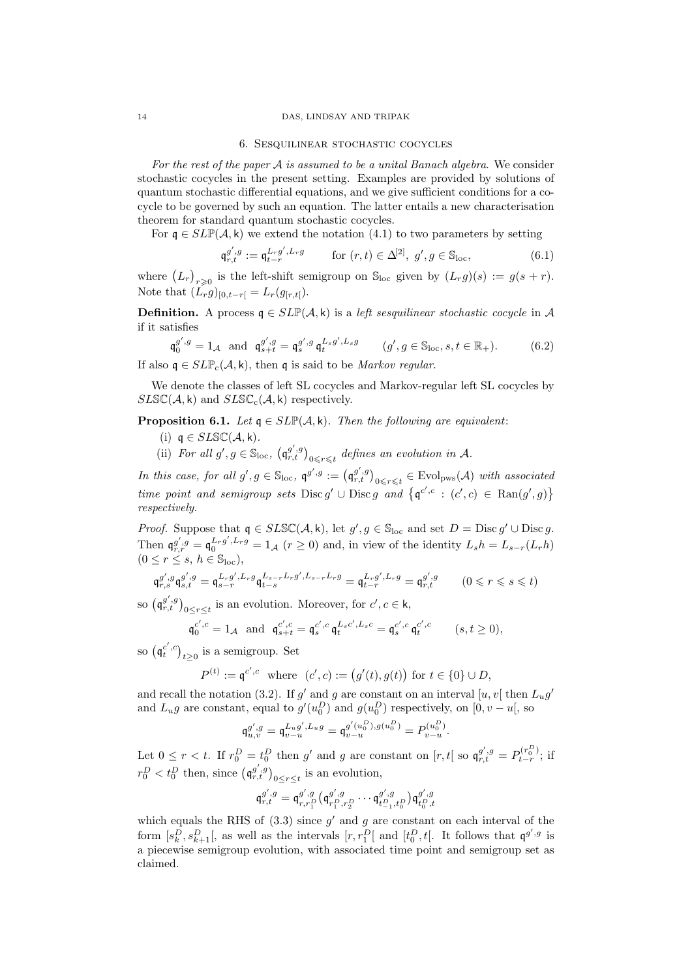## 14 DAS, LINDSAY AND TRIPAK

#### 6. Sesquilinear stochastic cocycles

For the rest of the paper  $A$  is assumed to be a unital Banach algebra. We consider stochastic cocycles in the present setting. Examples are provided by solutions of quantum stochastic differential equations, and we give sufficient conditions for a cocycle to be governed by such an equation. The latter entails a new characterisation theorem for standard quantum stochastic cocycles.

For  $\mathfrak{q} \in SLP(\mathcal{A}, \mathsf{k})$  we extend the notation (4.1) to two parameters by setting

$$
\mathfrak{q}_{r,t}^{g',g} := \mathfrak{q}_{t-r}^{L_r g', L_r g} \qquad \text{for } (r,t) \in \Delta^{[2]}, \ g', g \in \mathbb{S}_{loc}, \tag{6.1}
$$

where  $(L_r)_{r\geqslant 0}$  is the left-shift semigroup on  $\mathbb{S}_{\text{loc}}$  given by  $(L_r g)(s) := g(s + r)$ . Note that  $(L_r g)_{[0,t-r]} = L_r(g_{[r,t]})$ .

**Definition.** A process  $q \in SLP(\mathcal{A}, k)$  is a *left sesquilinear stochastic cocycle* in A if it satisfies

$$
\mathfrak{q}_{0}^{g',g} = 1_{\mathcal{A}} \text{ and } \mathfrak{q}_{s+t}^{g',g} = \mathfrak{q}_{s}^{g',g} \mathfrak{q}_{t}^{L_{s}g',L_{s}g} \qquad (g',g \in \mathbb{S}_{\text{loc}}, s,t \in \mathbb{R}_{+}). \tag{6.2}
$$

If also  $\mathfrak{g} \in SLP_c(\mathcal{A}, \mathsf{k})$ , then  $\mathfrak{g}$  is said to be *Markov regular*.

We denote the classes of left SL cocycles and Markov-regular left SL cocycles by  $SLSC(\mathcal{A}, \mathsf{k})$  and  $SLSC_{c}(\mathcal{A}, \mathsf{k})$  respectively.

**Proposition 6.1.** Let  $q \in SLP(\mathcal{A}, k)$ . Then the following are equivalent:

- (i)  $\mathfrak{g} \in SLSC(\mathcal{A}, \mathsf{k})$ .
- (ii) For all  $g', g \in \mathbb{S}_{loc}$ ,  $(\mathfrak{q}_{r,t}^{g',g})_{0 \leq r \leq t}$  defines an evolution in A.

In this case, for all  $g', g \in \mathbb{S}_{loc}$ ,  $\mathfrak{q}^{g', g} := (\mathfrak{q}_{r,t}^{g', g})_{0 \leq r \leq t} \in Evol_{pws}(\mathcal{A})$  with associated time point and semigroup sets Disc g'  $\cup$  Disc g and  $\{q^{c',c} : (c',c) \in \text{Ran}(g',g)\}\$ respectively.

*Proof.* Suppose that  $q \in SLSC(\mathcal{A}, \mathsf{k})$ , let  $g', g \in \mathbb{S}_{loc}$  and set  $D = Disc g' \cup Disc g$ . Then  $\mathfrak{q}_{r,r}^{g',g} = \mathfrak{q}_0^{L_r g', L_r g} = 1_{\mathcal{A}} (r \ge 0)$  and, in view of the identity  $L_s h = L_{s-r}(L_r h)$  $(0 \leq r \leq s, h \in \mathbb{S}_{loc}),$ 

$$
\mathfrak{q}_{r,s}^{g',g}\mathfrak{q}_{s,t}^{g',g} = \mathfrak{q}_{s-r}^{L_r g',L_r g}\mathfrak{q}_{t-s}^{L_{s-r}L_r g',L_{s-r}L_r g} = \mathfrak{q}_{t-r}^{L_r g',L_r g} = \mathfrak{q}_{r,t}^{g',g} \qquad (0 \leqslant r \leqslant s \leqslant t)
$$

so  $(\mathfrak{q}_{r,t}^{g',g})_{0\leq r\leq t}$  is an evolution. Moreover, for  $c',c\in\mathsf{k}$ ,

$$
\mathfrak{q}_0^{c',c} = 1_{\mathcal{A}}
$$
 and  $\mathfrak{q}_{s+t}^{c',c} = \mathfrak{q}_s^{c',c} \mathfrak{q}_t^{L_s c',L_s c} = \mathfrak{q}_s^{c',c} \mathfrak{q}_t^{c',c}$   $(s,t \ge 0),$ 

so  $(\mathfrak{q}_t^{c',c})_{t\geq 0}$  is a semigroup. Set

$$
P^{(t)} := \mathfrak{q}^{c',c} \text{ where } (c',c) := (g'(t),g(t)) \text{ for } t \in \{0\} \cup D,
$$

and recall the notation (3.2). If g' and g are constant on an interval  $[u, v]$  then  $L_u g'$ and  $L_u g$  are constant, equal to  $g'(u_0^D)$  and  $g(u_0^D)$  respectively, on  $[0, v - u]$ , so

$$
\mathfrak{q}^{g',g}_{u,v} = \mathfrak{q}^{L_u g',L_u g}_{v-u} = \mathfrak{q}^{g'(u_0^D),g(u_0^D)}_v = P^{(u_0^D)}_{v-u}.
$$

Let  $0 \leq r < t$ . If  $r_0^D = t_0^D$  then g' and g are constant on  $[r, t]$  so  $\mathfrak{q}_{r,t}^{g', g} = P_{t-r}^{(r_0^D)}$ ; if  $r_0^D < t_0^D$  then, since  $(\mathfrak{q}^{g',g}_{r,t})_{0 \le r \le t}$  is an evolution,

$$
\mathfrak{q}_{r,t}^{g',g} = \mathfrak{q}_{r,r_1^D}^{g',g} \big( \mathfrak{q}_{r_1^D,r_2^D}^{g',g} \cdots \mathfrak{q}_{t^D_{-1},t^D_0}^{g',g} \big) \mathfrak{q}_{t^D_0,t}^{g',g}
$$

which equals the RHS of  $(3.3)$  since  $g'$  and g are constant on each interval of the form  $[s_k^D, s_{k+1}^D]$ , as well as the intervals  $[r, r_1^D]$  and  $[t_0^D, t]$ . It follows that  $\mathfrak{q}^{g', g}$  is a piecewise semigroup evolution, with associated time point and semigroup set as claimed.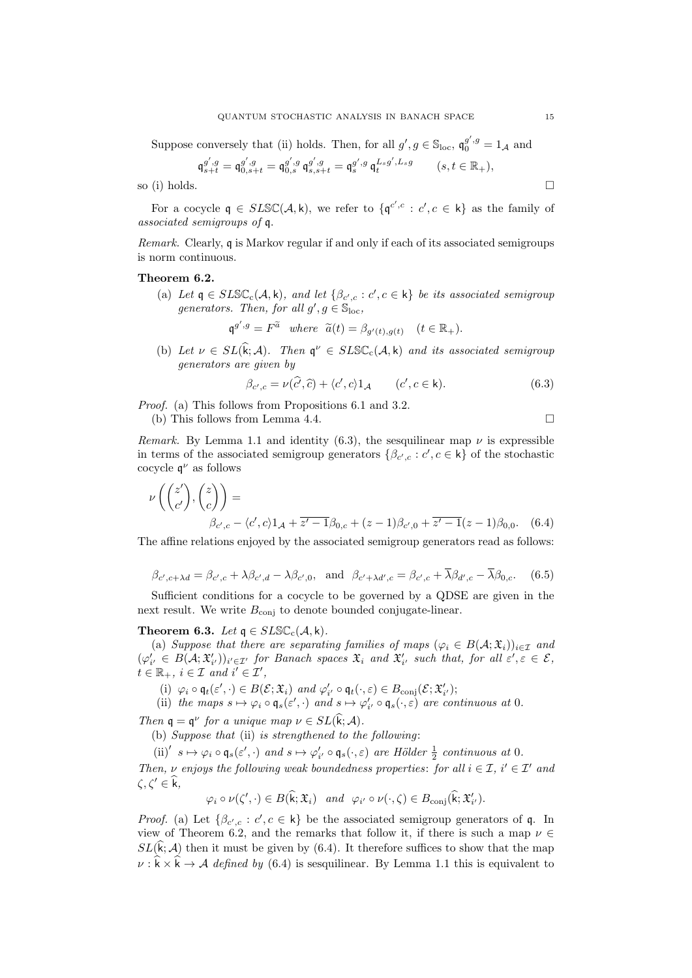Suppose conversely that (ii) holds. Then, for all  $g'$ ,  $g \in \mathbb{S}_{\text{loc}}$ ,  $\mathfrak{q}_0^{g',g} = 1_{\mathcal{A}}$  and

$$
\mathfrak{q}_{s+t}^{g',g} = \mathfrak{q}_{0,s+t}^{g',g} = \mathfrak{q}_{0,s}^{g',g} \mathfrak{q}_{s,s+t}^{g',g} = \mathfrak{q}_{s}^{g',g} \mathfrak{q}_{t}^{L_{s}g',L_{s}g} \qquad (s,t \in \mathbb{R}_{+}),
$$

so (i) holds.  $\Box$ 

For a cocycle  $\mathfrak{q} \in SLSC(\mathcal{A}, \mathsf{k})$ , we refer to  $\{\mathfrak{q}^{c', c} : c', c \in \mathsf{k}\}\$ as the family of associated semigroups of q.

Remark. Clearly, q is Markov regular if and only if each of its associated semigroups is norm continuous.

# Theorem 6.2.

(a) Let  $\mathfrak{q} \in SLS\mathbb{C}_{c}(\mathcal{A}, \mathsf{k})$ , and let  $\{\beta_{c',c} : c', c \in \mathsf{k}\}\$  be its associated semigroup generators. Then, for all  $g', g \in \mathbb{S}_{\text{loc}}$ ,

$$
\mathfrak{q}^{g',g} = F^{\widetilde{a}}
$$
 where  $\widetilde{a}(t) = \beta_{g'(t),g(t)}$   $(t \in \mathbb{R}_+).$ 

(b) Let  $\nu \in SL(\hat{k}; \mathcal{A})$ . Then  $\mathfrak{q}^{\nu} \in SLS\mathbb{C}_{c}(\mathcal{A}, k)$  and its associated semigroup generators are given by

$$
\beta_{c',c} = \nu(\widehat{c'}, \widehat{c}) + \langle c', c \rangle 1_{\mathcal{A}} \qquad (c', c \in \mathsf{k}). \tag{6.3}
$$

Proof. (a) This follows from Propositions 6.1 and 3.2. (b) This follows from Lemma 4.4.

Remark. By Lemma 1.1 and identity (6.3), the sesquilinear map  $\nu$  is expressible in terms of the associated semigroup generators  $\{\beta_{c',c} : c', c \in \mathsf{k}\}\$  of the stochastic cocycle  $\mathfrak{q}^{\nu}$  as follows

$$
\nu\left(\binom{z'}{c'},\binom{z}{c}\right) =
$$
\n
$$
\beta_{c',c} - \langle c',c\rangle 1_{\mathcal{A}} + \overline{z'-1}\beta_{0,c} + (z-1)\beta_{c',0} + \overline{z'-1}(z-1)\beta_{0,0}. \quad (6.4)
$$

The affine relations enjoyed by the associated semigroup generators read as follows:

$$
\beta_{c',c+\lambda d} = \beta_{c',c} + \lambda \beta_{c',d} - \lambda \beta_{c',0}, \text{ and } \beta_{c'+\lambda d',c} = \beta_{c',c} + \overline{\lambda} \beta_{d',c} - \overline{\lambda} \beta_{0,c}. \tag{6.5}
$$

Sufficient conditions for a cocycle to be governed by a QDSE are given in the next result. We write  $B_{\text{conj}}$  to denote bounded conjugate-linear.

# Theorem 6.3. Let  $q \in SLSC_{c}(\mathcal{A}, k)$ .

(a) Suppose that there are separating families of maps  $(\varphi_i \in B(\mathcal{A}; \mathfrak{X}_i))_{i \in \mathcal{I}}$  and  $(\varphi'_{i'} \in B(\mathcal{A}; \mathfrak{X}'_{i'}) )_{i' \in \mathcal{I}'}$  for Banach spaces  $\mathfrak{X}_i$  and  $\mathfrak{X}'_{i'}$  such that, for all  $\varepsilon', \varepsilon \in \mathcal{E}$ ,  $t \in \mathbb{R}_+$ ,  $i \in \mathcal{I}$  and  $i' \in \mathcal{I}'$ ,

(i)  $\varphi_i \circ \mathfrak{q}_t(\varepsilon', \cdot) \in B(\mathcal{E}; \mathfrak{X}_i)$  and  $\varphi'_{i'} \circ \mathfrak{q}_t(\cdot, \varepsilon) \in B_{\text{conj}}(\mathcal{E}; \mathfrak{X}'_{i'});$ 

(ii) the maps  $s \mapsto \varphi_i \circ \mathfrak{q}_s(\varepsilon', \cdot)$  and  $s \mapsto \varphi'_{i'} \circ \mathfrak{q}_s(\cdot, \varepsilon)$  are continuous at 0.

Then  $\mathfrak{q} = \mathfrak{q}^{\nu}$  for a unique map  $\nu \in SL(\mathfrak{k}; \mathcal{A})$ .

(b) Suppose that (ii) is strengthened to the following:

(ii)<sup>'</sup>  $s \mapsto \varphi_i \circ \mathfrak{q}_s(\varepsilon', \cdot)$  and  $s \mapsto \varphi'_{i'} \circ \mathfrak{q}_s(\cdot, \varepsilon)$  are Hölder  $\frac{1}{2}$  continuous at 0.

Then,  $\nu$  enjoys the following weak boundedness properties: for all  $i \in \mathcal{I}$ ,  $i' \in \mathcal{I}'$  and  $\zeta, \zeta' \in \widehat{k},$ 

$$
\varphi_i \circ \nu(\zeta',\cdot) \in B(\widehat{\mathbf{k}};\mathfrak{X}_i)
$$
 and  $\varphi_{i'} \circ \nu(\cdot,\zeta) \in B_{\text{conj}}(\widehat{\mathbf{k}};\mathfrak{X}'_{i'}).$ 

*Proof.* (a) Let  $\{\beta_{c',c} : c', c \in \mathsf{k}\}\$  be the associated semigroup generators of q. In view of Theorem 6.2, and the remarks that follow it, if there is such a map  $\nu \in$  $SL(\hat{k}; A)$  then it must be given by (6.4). It therefore suffices to show that the map  $\nu : \hat{k} \times \hat{k} \to A$  defined by (6.4) is sesquilinear. By Lemma 1.1 this is equivalent to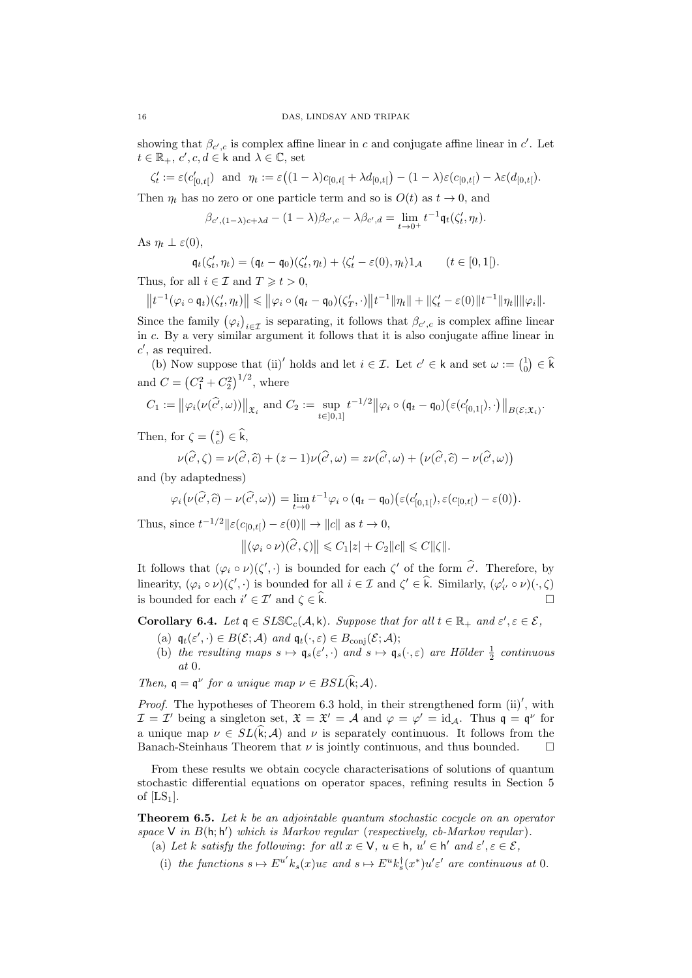showing that  $\beta_{c',c}$  is complex affine linear in c and conjugate affine linear in c'. Let  $t \in \mathbb{R}_+, c', c, d \in \mathsf{k}$  and  $\lambda \in \mathbb{C}$ , set

$$
\zeta'_t := \varepsilon(c'_{[0,t[}) \text{ and } \eta_t := \varepsilon((1-\lambda)c_{[0,t[}+\lambda d_{[0,t[})-(1-\lambda)\varepsilon(c_{[0,t[})-\lambda\varepsilon(d_{[0,t[}).
$$

Then  $\eta_t$  has no zero or one particle term and so is  $O(t)$  as  $t \to 0$ , and

$$
\beta_{c', (1-\lambda)c+\lambda d} - (1-\lambda)\beta_{c',c} - \lambda\beta_{c',d} = \lim_{t \to 0^+} t^{-1} \mathfrak{q}_t(\zeta'_t, \eta_t).
$$

As  $n_t \perp \varepsilon(0)$ ,

$$
\mathfrak{q}_t(\zeta'_t, \eta_t) = (\mathfrak{q}_t - \mathfrak{q}_0)(\zeta'_t, \eta_t) + \langle \zeta'_t - \varepsilon(0), \eta_t \rangle \mathbf{1}_{\mathcal{A}} \qquad (t \in [0, 1]).
$$

Thus, for all  $i \in \mathcal{I}$  and  $T \geq t > 0$ ,

$$
\left\|t^{-1}(\varphi_i\circ\mathfrak{q}_t)(\zeta'_t,\eta_t)\right\|\leqslant \left\|\varphi_i\circ(\mathfrak{q}_t-\mathfrak{q}_0)(\zeta'_T,\cdot)\right\|t^{-1}\|\eta_t\|+\|\zeta'_t-\varepsilon(0)\|t^{-1}\|\eta_t\|\|\varphi_i\|.
$$

Since the family  $(\varphi_i)_{i \in \mathcal{I}}$  is separating, it follows that  $\beta_{c',c}$  is complex affine linear in c. By a very similar argument it follows that it is also conjugate affine linear in  $c'$ , as required.

(b) Now suppose that (ii)' holds and let  $i \in \mathcal{I}$ . Let  $c' \in k$  and set  $\omega := \begin{pmatrix} 1 \\ 0 \end{pmatrix} \in \hat{k}$ and  $C = (C_1^2 + C_2^2)^{1/2}$ , where

$$
C_1 := \big\|\varphi_i(\nu(\widehat{c'}, \omega))\big\|_{\mathfrak{X}_i} \text{ and } C_2 := \sup_{t \in [0,1]} t^{-1/2} \big\|\varphi_i \circ (\mathfrak{q}_t - \mathfrak{q}_0)(\varepsilon(c'_{[0,1[}), \cdot)\big\|_{B(\mathcal{E}; \mathfrak{X}_i)}.
$$

Then, for  $\zeta = \begin{pmatrix} z \\ c \end{pmatrix} \in \widehat{k}$ ,

$$
\nu(\widehat{c'},\zeta) = \nu(\widehat{c'},\widehat{c}) + (z-1)\nu(\widehat{c'},\omega) = z\nu(\widehat{c'},\omega) + (\nu(\widehat{c'},\widehat{c}) - \nu(\widehat{c'},\omega))
$$

and (by adaptedness)

$$
\varphi_i\big(\nu(\widehat{c}',\widehat{c})-\nu(\widehat{c}',\omega)\big)=\lim_{t\to 0}t^{-1}\varphi_i\circ(\mathfrak{q}_t-\mathfrak{q}_0)\big(\varepsilon(c'_{[0,1]}),\varepsilon(c_{[0,t[})-\varepsilon(0)\big).
$$

Thus, since  $t^{-1/2}$  $\|\varepsilon(c_{[0,t[}) - \varepsilon(0))\| \to \|c\|$  as  $t \to 0$ ,

$$
\left\|(\varphi_i \circ \nu)(\widehat{c'}, \zeta)\right\| \leq C_1|z| + C_2\|c\| \leq C\|\zeta\|.
$$

It follows that  $(\varphi_i \circ \nu)(\zeta', \cdot)$  is bounded for each  $\zeta'$  of the form  $\hat{c'}$ . Therefore, by linearity,  $(\varphi_i \circ \nu)(\zeta', \cdot)$  is bounded for all  $i \in \mathcal{I}$  and  $\zeta' \in \hat{\mathbf{k}}$ . Similarly,  $(\varphi'_{i'} \circ \nu)(\cdot, \zeta)$ is bounded for each  $i' \in \mathcal{I}'$  and  $\zeta \in \hat{\mathbf{k}}$ .

**Corollary 6.4.** Let  $q \in SLS\mathbb{C}_{c}(\mathcal{A}, k)$ . Suppose that for all  $t \in \mathbb{R}_{+}$  and  $\varepsilon', \varepsilon \in \mathcal{E}$ ,

- (a)  $\mathfrak{q}_t(\varepsilon',\cdot) \in B(\mathcal{E};\mathcal{A})$  and  $\mathfrak{q}_t(\cdot,\varepsilon) \in B_{\text{conj}}(\mathcal{E};\mathcal{A});$
- (b) the resulting maps  $s \mapsto \mathfrak{q}_s(\varepsilon', \cdot)$  and  $s \mapsto \mathfrak{q}_s(\cdot, \varepsilon)$  are Hölder  $\frac{1}{2}$  continuous at 0.

Then,  $\mathfrak{q} = \mathfrak{q}^{\nu}$  for a unique map  $\nu \in BSL(\widehat{\mathfrak{k}}; \mathcal{A})$ .

*Proof.* The hypotheses of Theorem 6.3 hold, in their strengthened form  $(ii)'$ , with  $\mathcal{I} = \mathcal{I}'$  being a singleton set,  $\mathfrak{X} = \mathfrak{X}' = \mathcal{A}$  and  $\varphi = \varphi' = id_{\mathcal{A}}$ . Thus  $\mathfrak{q} = \mathfrak{q}^{\nu}$  for a unique map  $\nu \in SL(k; \mathcal{A})$  and  $\nu$  is separately continuous. It follows from the Banach-Steinhaus Theorem that  $\nu$  is jointly continuous and thus bounded Banach-Steinhaus Theorem that  $\nu$  is jointly continuous, and thus bounded.

From these results we obtain cocycle characterisations of solutions of quantum stochastic differential equations on operator spaces, refining results in Section 5 of  $[LS_1]$ .

**Theorem 6.5.** Let  $k$  be an adjointable quantum stochastic cocycle on an operator space  $V$  in  $B(h; h')$  which is Markov regular (respectively, cb-Markov reqular).

- (a) Let k satisfy the following: for all  $x \in V$ ,  $u \in h$ ,  $u' \in h'$  and  $\varepsilon'$ ,  $\varepsilon \in \mathcal{E}$ ,
	- (i) the functions  $s \mapsto E^{u'} k_s(x)$ u $\varepsilon$  and  $s \mapsto E^{u} k_s^{\dagger}(x^*) u' \varepsilon'$  are continuous at 0.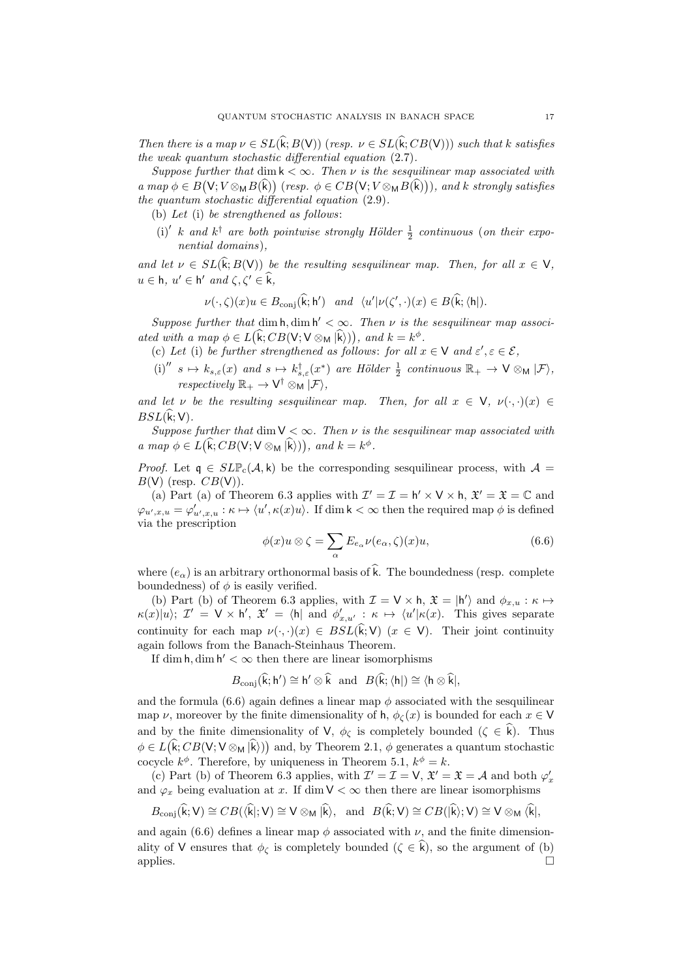Then there is a map  $\nu \in SL(\widehat{k};B(V))$  (resp.  $\nu \in SL(\widehat{k};CB(V))$ ) such that k satisfies the weak quantum stochastic differential equation (2.7).

Suppose further that dim  $k < \infty$ . Then  $\nu$  is the sesquilinear map associated with  $a \mapsto \phi \in B(\mathsf{V}; V \otimes_{\mathsf{M}} B(\mathsf{k}))$  (resp.  $\phi \in CB(\mathsf{V}; V \otimes_{\mathsf{M}} B(\mathsf{k})))$ , and k strongly satisfies the quantum stochastic differential equation  $(2.9)$ .

(b) Let (i) be strengthened as follows:

(i)' k and  $k^{\dagger}$  are both pointwise strongly Hölder  $\frac{1}{2}$  continuous (on their exponential domains),

and let  $\nu \in SL(\hat{k};B(V))$  be the resulting sesquilinear map. Then, for all  $x \in V$ ,  $u \in \mathsf{h}, u' \in \mathsf{h}'$  and  $\zeta, \zeta' \in \widehat{\mathsf{k}},$ 

$$
\nu(\cdot,\zeta)(x)u \in B_{\text{conj}}(\widehat{\mathbf{k}};\mathbf{h}') \quad and \quad \langle u' | \nu(\zeta',\cdot)(x) \in B(\widehat{\mathbf{k}};\langle \mathbf{h} |).
$$

Suppose further that  $\dim h, \dim h' < \infty$ . Then  $\nu$  is the sesquilinear map associated with a map  $\phi \in L(\mathbf{k}; CB(\mathsf{V}; \mathsf{V} \otimes_{\mathsf{M}} |\mathbf{k})))$ , and  $k = k^{\phi}$ .

- (c) Let (i) be further strengthened as follows: for all  $x \in V$  and  $\varepsilon', \varepsilon \in \mathcal{E}$ ,
- (i)<sup> $''$ </sup>  $s \mapsto k_{s,\varepsilon}(x)$  and  $s \mapsto k_{s,\varepsilon}^{\dagger}(x^*)$  are Hölder  $\frac{1}{2}$  continuous  $\mathbb{R}_+ \to \mathsf{V} \otimes_{\mathsf{M}} |\mathcal{F} \rangle$ ,  $respectively \mathbb{R}_+ \to V^{\dagger} \otimes_M |\mathcal{F}\rangle,$

and let v be the resulting sesquilinear map. Then, for all  $x \in V$ ,  $\nu(\cdot, \cdot)(x) \in$  $BSL(\widehat{\mathsf{k}}; \mathsf{V}).$ 

Suppose further that  $\dim V < \infty$ . Then v is the sesquilinear map associated with a map  $\phi \in L(\hat{\mathsf{k}}; CB(\mathsf{V}; \mathsf{V} \otimes_{\mathsf{M}} |\hat{\mathsf{k}})))$ , and  $k = k^{\phi}$ .

*Proof.* Let  $q \in SLP_c(\mathcal{A}, k)$  be the corresponding sesquilinear process, with  $\mathcal{A} =$  $B(V)$  (resp.  $CB(V)$ ).

(a) Part (a) of Theorem 6.3 applies with  $\mathcal{I}' = \mathcal{I} = h' \times V \times h$ ,  $\mathcal{X}' = \mathcal{X} = \mathbb{C}$  and  $\varphi_{u',x,u} = \varphi'_{u',x,u} : \kappa \mapsto \langle u', \kappa(x)u \rangle$ . If dim  $\mathsf{k} < \infty$  then the required map  $\phi$  is defined via the prescription

$$
\phi(x)u \otimes \zeta = \sum_{\alpha} E_{e_{\alpha}} \nu(e_{\alpha}, \zeta)(x)u,
$$
\n(6.6)

where  $(e_{\alpha})$  is an arbitrary orthonormal basis of  $\hat{k}$ . The boundedness (resp. complete boundedness) of  $\phi$  is easily verified.

(b) Part (b) of Theorem 6.3 applies, with  $\mathcal{I} = \mathsf{V} \times \mathsf{h}$ ,  $\mathfrak{X} = | \mathsf{h}' \rangle$  and  $\phi_{x,u} : \kappa \mapsto$  $\kappa(x)|u\rangle; \mathcal{I}' = \mathsf{V} \times \mathsf{h}', \mathfrak{X}' = \langle \mathsf{h} | \text{ and } \phi'_{x,u'} : \kappa \mapsto \langle u' | \kappa(x). \text{ This gives separate}$ continuity for each map  $\nu(\cdot, \cdot)(x) \in BSL(\hat{k}; V)$  ( $x \in V$ ). Their joint continuity again follows from the Banach-Steinhaus Theorem.

If dim  $h,$  dim  $h' < \infty$  then there are linear isomorphisms

$$
B_{\mathrm{conj}}(\widehat{\mathsf{k}};\mathsf{h}') \cong \mathsf{h}' \otimes \widehat{\mathsf{k}} \ \ \text{and} \ \ B(\widehat{\mathsf{k}};\langle \mathsf{h}|) \cong \langle \mathsf{h} \otimes \widehat{\mathsf{k}}|,
$$

and the formula  $(6.6)$  again defines a linear map  $\phi$  associated with the sesquilinear map  $\nu$ , moreover by the finite dimensionality of h,  $\phi_{\zeta}(x)$  is bounded for each  $x \in V$ and by the finite dimensionality of V,  $\phi_{\zeta}$  is completely bounded  $(\zeta \in \hat{k})$ . Thus  $\phi \in L(\mathbf{k}; CB(\mathsf{V}; \mathsf{V} \otimes_{\mathsf{M}} \mathsf{k}))$  and, by Theorem 2.1,  $\phi$  generates a quantum stochastic cocycle  $k^{\phi}$ . Therefore, by uniqueness in Theorem 5.1,  $k^{\phi} = k$ .

(c) Part (b) of Theorem 6.3 applies, with  $\mathcal{I}' = \mathcal{I} = \mathsf{V}$ ,  $\mathfrak{X}' = \mathfrak{X} = \mathcal{A}$  and both  $\varphi'_x$ and  $\varphi_x$  being evaluation at x. If dim  $\mathsf{V} < \infty$  then there are linear isomorphisms

$$
B_{\mathrm{conj}}(\widehat{k};V) \cong CB(\langle \widehat{k}|;V) \cong V \otimes_M |\widehat{k}\rangle, \text{ and } B(\widehat{k};V) \cong CB(|\widehat{k}\rangle;V) \cong V \otimes_M \langle \widehat{k}|,
$$

and again (6.6) defines a linear map  $\phi$  associated with  $\nu$ , and the finite dimensionality of V ensures that  $\phi_{\zeta}$  is completely bounded  $(\zeta \in \hat{k})$ , so the argument of (b) applies. applies.  $\Box$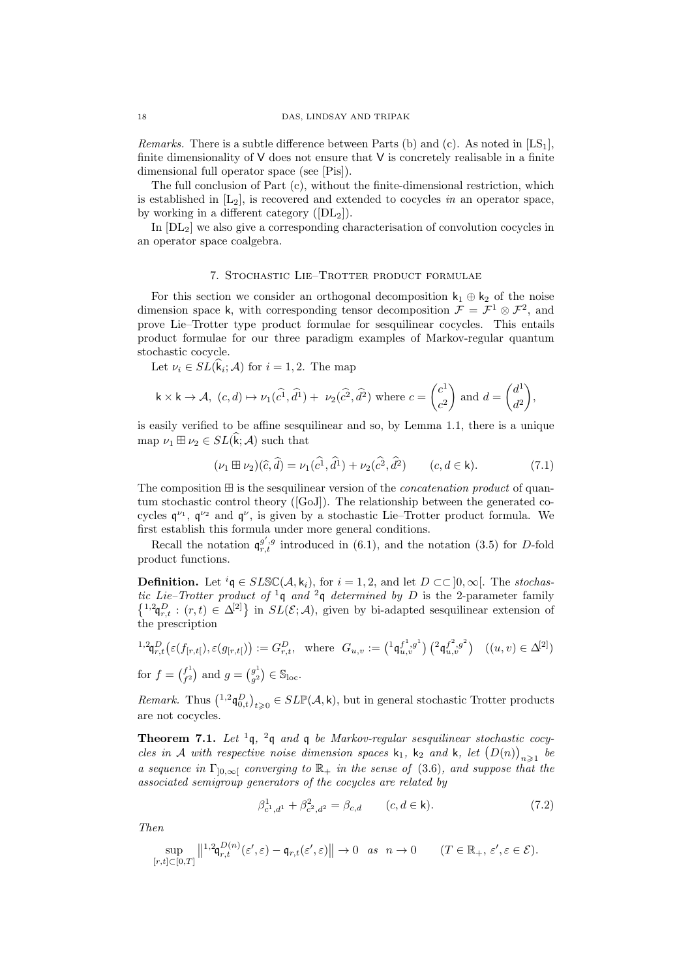*Remarks.* There is a subtle difference between Parts (b) and (c). As noted in  $[LS_1]$ , finite dimensionality of  $V$  does not ensure that  $V$  is concretely realisable in a finite dimensional full operator space (see [Pis]).

The full conclusion of Part (c), without the finite-dimensional restriction, which is established in  $[L_2]$ , is recovered and extended to cocycles in an operator space, by working in a different category  $([DL_2])$ .

In  $[DL<sub>2</sub>]$  we also give a corresponding characterisation of convolution cocycles in an operator space coalgebra.

## 7. Stochastic Lie–Trotter product formulae

For this section we consider an orthogonal decomposition  $k_1 \oplus k_2$  of the noise dimension space k, with corresponding tensor decomposition  $\mathcal{F} = \mathcal{F}^1 \otimes \mathcal{F}^2$ , and prove Lie–Trotter type product formulae for sesquilinear cocycles. This entails product formulae for our three paradigm examples of Markov-regular quantum stochastic cocycle.

Let  $\nu_i \in SL(k_i; \mathcal{A})$  for  $i = 1, 2$ . The map

$$
\mathsf{k} \times \mathsf{k} \to \mathcal{A}, \ (c, d) \mapsto \nu_1(\widehat{c}^1, \widehat{d}^1) + \ \nu_2(\widehat{c}^2, \widehat{d}^2) \ \text{where} \ c = \begin{pmatrix} c^1 \\ c^2 \end{pmatrix} \text{ and } d = \begin{pmatrix} d^1 \\ d^2 \end{pmatrix},
$$

is easily verified to be affine sesquilinear and so, by Lemma 1.1, there is a unique map  $\nu_1 \boxplus \nu_2 \in SL(\widehat{k}; \mathcal{A})$  such that

$$
(\nu_1 \boxplus \nu_2)(\widehat{c}, \widehat{d}) = \nu_1(\widehat{c^1}, \widehat{d^1}) + \nu_2(\widehat{c^2}, \widehat{d^2}) \qquad (c, d \in \mathsf{k}). \tag{7.1}
$$

The composition  $\boxplus$  is the sesquilinear version of the *concatenation product* of quantum stochastic control theory ([GoJ]). The relationship between the generated cocycles  $\mathfrak{q}^{\nu_1}$ ,  $\mathfrak{q}^{\nu_2}$  and  $\mathfrak{q}^{\nu}$ , is given by a stochastic Lie–Trotter product formula. We first establish this formula under more general conditions.

Recall the notation  $\mathfrak{q}_{r,t}^{g',g}$  introduced in (6.1), and the notation (3.5) for D-fold product functions.

**Definition.** Let  ${}^{i} \mathfrak{g} \in SLSC(\mathcal{A}, k_i)$ , for  $i = 1, 2$ , and let  $D \subset\subset ]0, \infty[$ . The stochastic Lie–Trotter product of <sup>1</sup>q and <sup>2</sup>q determined by D is the 2-parameter family  ${1,2,\mathfrak{q}}_{r,t}^D$ :  $(r,t) \in \Delta^{[2]}$  in  $SL(\mathcal{E};\mathcal{A})$ , given by bi-adapted sesquilinear extension of the prescription

$$
\begin{aligned} \n^{1,2}\mathfrak{q}_{r,t}^D\big(\varepsilon(f_{[r,t[}),\varepsilon(g_{[r,t[})\big):=G_{r,t}^D, \text{ where } G_{u,v}:=\left(\begin{smallmatrix}1\mathfrak{q}_{u,v}^{f^1,g^1}\end{smallmatrix}\right)\left(\begin{smallmatrix}2\mathfrak{q}_{u,v}^{f^2,g^2}\end{smallmatrix}\right) & ((u,v)\in\Delta^{[2]})\\ \n\text{for } f=\left(\begin{smallmatrix}f^1\\f^2\end{smallmatrix}\right) \text{ and } g=\left(\begin{smallmatrix}g^1\\g^2\end{smallmatrix}\right)\in\mathbb{S}_{\text{loc}}.\n\end{aligned}
$$

Remark. Thus  $({}^{1,2}\mathfrak{q}_{0,t}^D)_{t\geqslant0} \in SLP(\mathcal{A},\mathsf{k})$ , but in general stochastic Trotter products are not cocycles.

**Theorem 7.1.** Let <sup>1</sup>q, <sup>2</sup>q and q be Markov-regular sesquilinear stochastic cocycles in A with respective noise dimension spaces  $\mathsf{k}_1$ ,  $\mathsf{k}_2$  and  $\mathsf{k}$ , let  $(D(n))_{n\geqslant 1}$  be a sequence in  $\Gamma_{[0,\infty]}$  converging to  $\mathbb{R}_+$  in the sense of (3.6), and suppose that the associated semigroup generators of the cocycles are related by

$$
\beta_{c^1,d^1}^1 + \beta_{c^2,d^2}^2 = \beta_{c,d} \qquad (c,d \in \mathsf{k}).\tag{7.2}
$$

Then

$$
\sup_{[r,t]\subset[0,T]}\left\|^{1,2}\mathfrak{q}_{r,t}^{D(n)}(\varepsilon',\varepsilon)-\mathfrak{q}_{r,t}(\varepsilon',\varepsilon)\right\|\to 0 \quad as \quad n\to 0 \qquad (T\in\mathbb{R}_+,\,\varepsilon',\varepsilon\in\mathcal{E}).
$$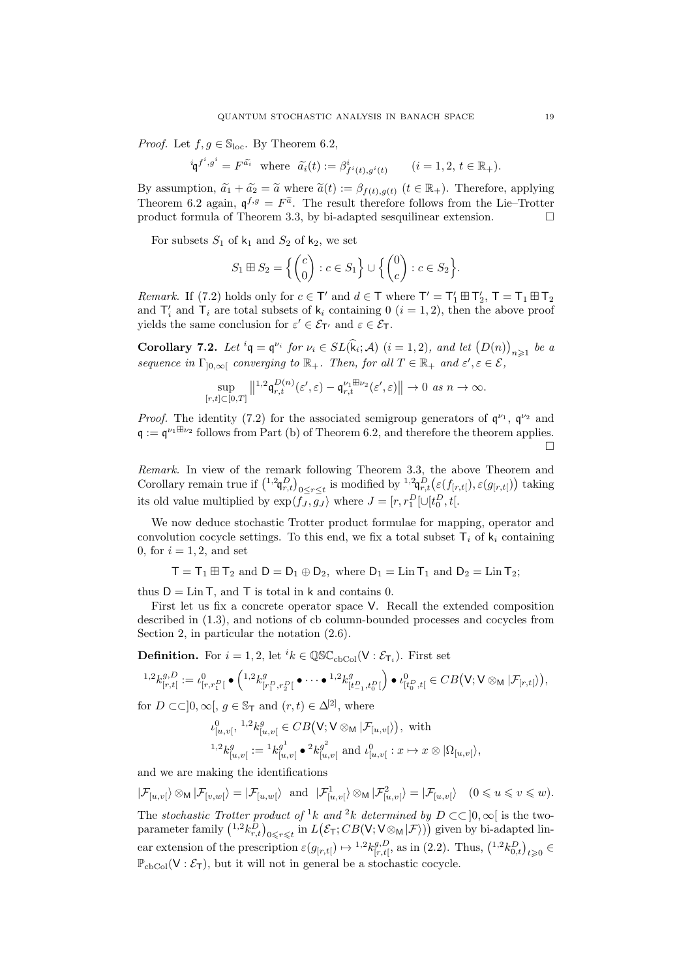*Proof.* Let  $f, g \in \mathbb{S}_{loc}$ . By Theorem 6.2,

$$
{}^{i}\mathfrak{q}^{f^{i},g^{i}} = F^{\tilde{a_{i}}} \text{ where } \tilde{a_{i}}(t) := \beta^{i}_{f^{i}(t),g^{i}(t)} \qquad (i = 1,2, t \in \mathbb{R}_{+}).
$$

By assumption,  $\tilde{a}_1 + \tilde{a}_2 = \tilde{a}$  where  $\tilde{a}(t) := \beta_{f(t),g(t)}$   $(t \in \mathbb{R}_+).$  Therefore, applying Theorem 6.2 again,  $\mathfrak{q}^{f,g} = F^{\tilde{a}}$ . The result therefore follows from the Lie–Trotter product formula of Theorem 3.3, by bi-adapted sesquilinear extension.  $\Box$ 

For subsets  $S_1$  of  $k_1$  and  $S_2$  of  $k_2$ , we set

$$
S_1 \boxplus S_2 = \left\{ \begin{pmatrix} c \\ 0 \end{pmatrix} : c \in S_1 \right\} \cup \left\{ \begin{pmatrix} 0 \\ c \end{pmatrix} : c \in S_2 \right\}.
$$

*Remark.* If (7.2) holds only for  $c \in T'$  and  $d \in T$  where  $T' = T_1' \boxplus T_2'$ ,  $T = T_1 \boxplus T_2$ and  $\mathsf{T}'_i$  and  $\mathsf{T}_i$  are total subsets of  $\mathsf{k}_i$  containing 0  $(i = 1, 2)$ , then the above proof yields the same conclusion for  $\varepsilon' \in \mathcal{E}_{T'}$  and  $\varepsilon \in \mathcal{E}_{T}$ .

**Corollary 7.2.** Let  ${}^{i} \mathfrak{q} = \mathfrak{q}^{\nu_i}$  for  $\nu_i \in SL(\hat{\mathfrak{k}}_i; \mathcal{A})$   $(i = 1, 2)$ , and let  $(D(n))_{n \geq 1}$  be a sequence in  $\Gamma_{]0,\infty[}$  converging to  $\mathbb{R}_+$ . Then, for all  $T \in \mathbb{R}_+$  and  $\varepsilon', \varepsilon \in \mathcal{E}$ ,

$$
\sup_{[r,t]\subset[0,T]}\left\|^{1,2}\mathfrak{q}_{r,t}^{D(n)}(\varepsilon',\varepsilon)-\mathfrak{q}_{r,t}^{\nu_1\boxplus\nu_2}(\varepsilon',\varepsilon)\right\|\to 0\ \text{as}\ n\to\infty.
$$

*Proof.* The identity (7.2) for the associated semigroup generators of  $\mathfrak{q}^{\nu_1}$ ,  $\mathfrak{q}^{\nu_2}$  and  $\mathfrak{q} := \mathfrak{q}^{\nu_1 \boxplus \nu_2}$  follows from Part (b) of Theorem 6.2, and therefore the theorem applies.  $\Box$ 

Remark. In view of the remark following Theorem 3.3, the above Theorem and Corollary remain true if  $({}^{1,2}\mathfrak{q}_{r,t}^D)_{0 \leq r \leq t}$  is modified by  ${}^{1,2}\mathfrak{q}_{r,t}^D(\varepsilon(f_{[r,t[}), \varepsilon(g_{[r,t[}))$  taking its old value multiplied by  $\exp\langle f_J, g_J \rangle$  where  $J = [r, r_1^D] \cup [t_0^D, t]$ .

We now deduce stochastic Trotter product formulae for mapping, operator and convolution cocycle settings. To this end, we fix a total subset  $\mathsf{T}_i$  of  $\mathsf{k}_i$  containing 0, for  $i = 1, 2$ , and set

 $T = T_1 \boxplus T_2$  and  $D = D_1 \oplus D_2$ , where  $D_1 = \text{Lin } T_1$  and  $D_2 = \text{Lin } T_2$ ;

thus  $D = \text{Lin } T$ , and T is total in k and contains 0.

First let us fix a concrete operator space V. Recall the extended composition described in (1.3), and notions of cb column-bounded processes and cocycles from Section 2, in particular the notation (2.6).

**Definition.** For  $i = 1, 2$ , let  ${}^{i}k \in \mathbb{QSC}_{cbCol}(\mathsf{V} : \mathcal{E}_{\mathsf{T}_i})$ . First set

$$
{}^{1,2}k_{[r,t]}^{g,D} := \iota^0_{[r,r_1^D[} \bullet \left( {}^{1,2}k_{[r_1^D,r_2^D[}^g \bullet \cdots \bullet {}^{1,2}k_{[t_{-1}^D,t_0^D]}^g \right) \bullet \iota^0_{[t_0^D,t[} \in CB(V;V \otimes_M |\mathcal{F}_{[r,t[})),
$$

for  $D \subset \subset ]0, \infty[$ ,  $q \in \mathbb{S}_{\mathsf{T}}$  and  $(r, t) \in \Delta^{[2]}$ , where

$$
\iota^0_{[u,v[},{}^{1,2}k^\mathcal{g}_{[u,v[}\in CB\big(\mathsf{V};\mathsf{V}\otimes_{\mathsf{M}}|\mathcal{F}_{[u,v[}\big)\big),\,\,\text{with}\,\,\\ {}^{1,2}k^\mathcal{g}_{[u,v[}:={}^{1}k^\mathcal{g^1}_{[u,v[}\bullet {}^{2}k^\mathcal{g^2}_{[u,v[}\,\,\text{and}\,\,\iota^0_{[u,v[}:x\mapsto x\otimes |\Omega_{[u,v[}\big),
$$

and we are making the identifications

 $|\mathcal{F}_{[u,v]}\rangle \otimes_{\mathsf{M}} |\mathcal{F}_{[v,w]}\rangle = |\mathcal{F}_{[u,w]}\rangle$  and  $|\mathcal{F}_{[u,v]}^1\rangle \otimes_{\mathsf{M}} |\mathcal{F}_{[u,v]}^2\rangle = |\mathcal{F}_{[u,v]}\rangle$   $(0 \leqslant u \leqslant v \leqslant w)$ . The stochastic Trotter product of <sup>1</sup>k and <sup>2</sup>k determined by  $D \subset \subset [0,\infty]$  is the two-

parameter family  $\binom{1,2}{{k-r} \choose r,t}_{0\leq r\leq t}$  in  $L(\mathcal{E}_{\mathsf{T}};CB(\mathsf{V};\mathsf{V}\otimes_{\mathsf{M}}|\mathcal{F}))$  given by bi-adapted linear extension of the prescription  $\varepsilon(g_{[r,t]}) \mapsto {}^{1,2}k_{[r,t]}^{g,D}$  ${}_{[r,t[}^{g,D},$  as in (2.2). Thus,  $({}^{1,2}k_{0,t}^D)_{t\geqslant0}$   $\in$  $\mathbb{P}_{\text{cbCol}}(V:\mathcal{E}_{\mathsf{T}})$ , but it will not in general be a stochastic cocycle.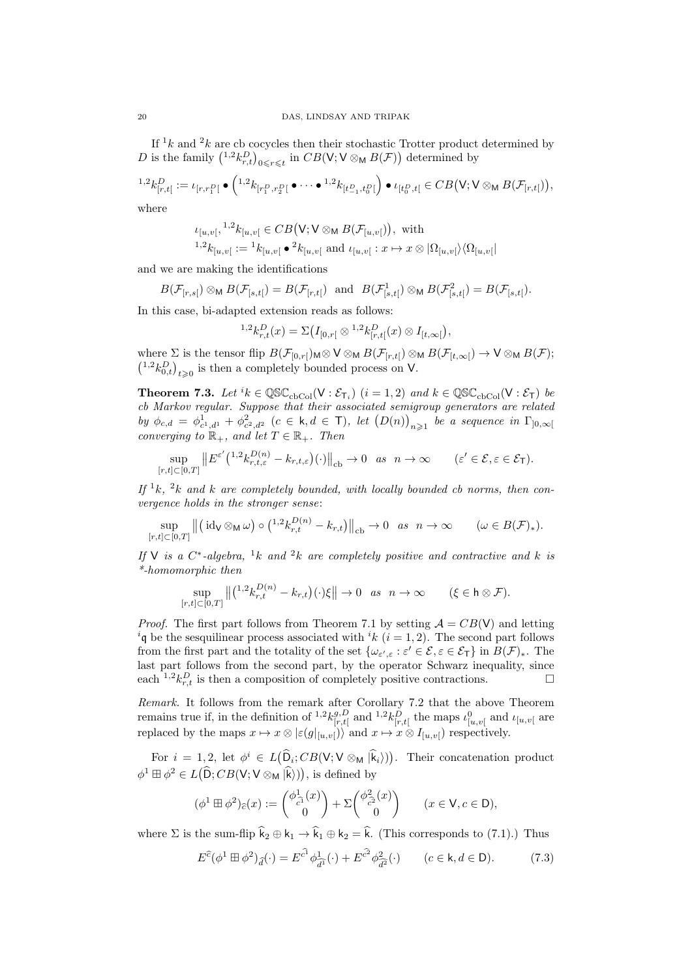If  $1k$  and  $2k$  are cb cocycles then their stochastic Trotter product determined by D is the family  $({}^{1,2}k_{r,t}^D)_{0\leq r\leq t}$  in  $CB(V;V\otimes_M B(\mathcal{F}))$  determined by

$$
{}^{1,2}k_{[r,t]}^D := \iota_{[r,r_1^D[} \bullet \left( {}^{1,2}k_{[r_1^D,r_2^D[} \bullet \cdots \bullet {}^{1,2}k_{[t_{-1}^D,t_0^D[} \right) \bullet \iota_{[t_0^D,t[} \in CB(V;V \otimes_{\mathsf{M}} B(\mathcal{F}_{[r,t[})),
$$

where

$$
\iota_{[u,v[},{}^{1,2}k_{[u,v[} \in CB(\mathsf{V};\mathsf{V} \otimes_{\mathsf{M}} B(\mathcal{F}_{[u,v]})), \text{ with})
$$
  

$$
{}^{1,2}k_{[u,v[} := {}^{1}k_{[u,v[} \bullet {}^{2}k_{[u,v[} \text{ and } \iota_{[u,v[} : x \mapsto x \otimes |\Omega_{[u,v[} \rangle \langle \Omega_{[u,v[} \rangle
$$

and we are making the identifications

$$
B(\mathcal{F}_{[r,s[})\otimes_{\mathsf{M}} B(\mathcal{F}_{[s,t[})=B(\mathcal{F}_{[r,t[})\text{ and }B(\mathcal{F}_{[s,t[}^1)\otimes_{\mathsf{M}} B(\mathcal{F}_{[s,t[}^2)=B(\mathcal{F}_{[s,t[}).
$$

In this case, bi-adapted extension reads as follows:

$$
{}^{1,2}k_{r,t}^D(x)=\Sigma\big(I_{[0,r[}\otimes {}^{1,2}k_{[r,t[}^D(x)\otimes I_{[t,\infty[}),
$$

where  $\Sigma$  is the tensor flip  $B(\mathcal{F}_{[0,r[})\otimes \mathsf{V}\otimes_{\mathsf{M}} B(\mathcal{F}_{[r,t[})\otimes_{\mathsf{M}} B(\mathcal{F}_{[t,\infty[})\rightarrow \mathsf{V}\otimes_{\mathsf{M}} B(\mathcal{F});$  $\binom{1,2}{0,t}_{t\geqslant 0}$  is then a completely bounded process on V.

**Theorem 7.3.** Let  ${}^{i}k \in \mathbb{QSC}_{cbCol}(\mathsf{V} : \mathcal{E}_{\mathsf{T}_i})$   $(i = 1, 2)$  and  $k \in \mathbb{QSC}_{cbCol}(\mathsf{V} : \mathcal{E}_{\mathsf{T}})$  be cb Markov regular. Suppose that their associated semigroup generators are related by  $\phi_{c,d} = \phi_{c^1,d^1}^1 + \phi_{c^2,d^2}^2$  ( $c \in k, d \in \mathsf{T}$ ), let  $(D(n))_{n \geq 1}$  be a sequence in  $\Gamma_{]0,\infty[}$ converging to  $\mathbb{R}_+$ , and let  $T \in \mathbb{R}_+$ . Then

$$
\sup_{[r,t]\subset[0,T]}\left\|E^{\varepsilon'}\left(^{1,2}k_{r,t,\varepsilon}^{D(n)}-k_{r,t,\varepsilon}\right)(\cdot)\right\|_{\text{cb}}\to 0 \quad as \quad n\to\infty \qquad (\varepsilon'\in\mathcal{E},\varepsilon\in\mathcal{E}_{\mathsf{T}}).
$$

If  ${}^1k$ ,  ${}^2k$  and k are completely bounded, with locally bounded cb norms, then convergence holds in the stronger sense:

$$
\sup_{[r,t]\subset[0,T]}\left\|\left(\mathrm{id}_{\mathsf{V}}\otimes_{\mathsf{M}}\omega\right)\circ\left(\begin{matrix}1,2k_{r,t}^{D(n)}-k_{r,t}\end{matrix}\right)\right\|_{\mathrm{cb}}\to 0\quad as\quad n\to\infty\qquad(\omega\in B(\mathcal{F})_*).
$$

If V is a  $C^*$ -algebra, <sup>1</sup>k and <sup>2</sup>k are completely positive and contractive and k is \*-homomorphic then

$$
\sup_{[r,t]\subset[0,T]}\left\|\left(\begin{matrix}1.2k_{r,t}^{D(n)}-k_{r,t}\end{matrix}\right)(\cdot)\xi\right\|\to 0 \quad as \quad n\to\infty \qquad (\xi\in\mathsf{h}\otimes\mathcal{F}).
$$

*Proof.* The first part follows from Theorem 7.1 by setting  $A = CB(V)$  and letting <sup>i</sup>q be the sesquilinear process associated with <sup>i</sup>k (i = 1, 2). The second part follows from the first part and the totality of the set  $\{\omega_{\varepsilon',\varepsilon} : \varepsilon' \in \mathcal{E}, \varepsilon \in \mathcal{E}_{\mathsf{T}}\}$  in  $B(\mathcal{F})_*$ . The last part follows from the second part, by the operator Schwarz inequality, since each <sup>1,2</sup> $k_{r,t}^D$  is then a composition of completely positive contractions.

Remark. It follows from the remark after Corollary 7.2 that the above Theorem remains true if, in the definition of  $^{1,2}k_{\lbrack r\!l}^{g,D}$  $\iota_{[r,t]}^{g,D}$  and  $\iota^{1,2}_k k_{[r,t]}^D$  the maps  $\iota_{[u,v]}^0$  and  $\iota_{[u,v]}$  are replaced by the maps  $x \mapsto x \otimes |\varepsilon(g|_{[u,v]})\rangle$  and  $x \mapsto x \otimes I_{[u,v]}\rangle$  respectively.

For  $i = 1, 2$ , let  $\phi^i \in L(\hat{\mathsf{D}}_i; CB(\mathsf{V}; \mathsf{V} \otimes_{\mathsf{M}} |\hat{\mathsf{k}}_i))$ . Their concatenation product  $\phi^1 \boxplus \phi^2 \in L(\widehat{\mathsf{D}}; CB(\mathsf{V}; \mathsf{V} \otimes_{\mathsf{M}} |\widehat{\mathsf{k}}))\text{), is defined by}$ 

$$
(\phi^1 \boxplus \phi^2)_{\widehat{c}}(x) := \begin{pmatrix} \phi_{\widehat{c}^1}^1(x) \\ 0 \end{pmatrix} + \Sigma \begin{pmatrix} \phi_{\widehat{c}^2}^2(x) \\ 0 \end{pmatrix} \qquad (x \in \mathsf{V}, c \in \mathsf{D}),
$$

where  $\Sigma$  is the sum-flip  $\hat{k}_2 \oplus k_1 \rightarrow \hat{k}_1 \oplus k_2 = \hat{k}$ . (This corresponds to (7.1).) Thus

$$
E^{\hat{c}}(\phi^1 \boxplus \phi^2)_{\hat{d}}(\cdot) = E^{\hat{c}^1} \phi^1_{\hat{d}^1}(\cdot) + E^{\hat{c}^2} \phi^2_{\hat{d}^2}(\cdot) \qquad (c \in \mathsf{k}, d \in \mathsf{D}).\tag{7.3}
$$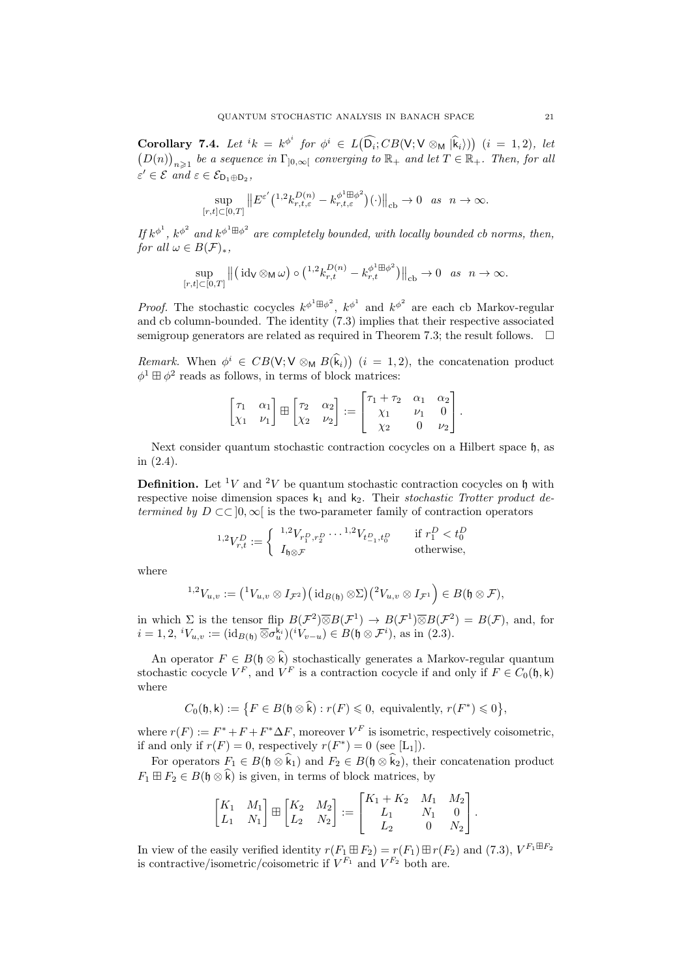Corollary 7.4. Let  ${}^{i}k = k^{\phi^{i}}$  for  $\phi^{i} \in L(\widehat{\mathsf{D}_{i}}; CB(\mathsf{V}; \mathsf{V} \otimes_{\mathsf{M}} |\widehat{\mathsf{k}}_{i})))$   $(i = 1, 2)$ , let  $(D(n))_{n\geqslant 1}$  be a sequence in  $\Gamma_{]0,\infty[}$  converging to  $\mathbb{R}_+$  and let  $T \in \mathbb{R}_+$ . Then, for all  $\varepsilon' \in \mathcal{E} \text{ and } \varepsilon \in \mathcal{E}_{\mathsf{D}_1 \oplus \mathsf{D}_2},$ 

$$
\sup_{[r,t]\subset[0,T]}\left\|E^{\varepsilon'}\left(^{1,2}k_{r,t,\varepsilon}^{D(n)}-k_{r,t,\varepsilon}^{\phi^1\boxplus\phi^2}\right)(\cdot)\right\|_{\mathrm{cb}}\to0\quad as\quad n\to\infty.
$$

If  $k^{\phi^1}$ ,  $k^{\phi^2}$  and  $k^{\phi^1 \boxplus \phi^2}$  are completely bounded, with locally bounded cb norms, then, for all  $\omega \in B(\mathcal{F})_*$ ,

$$
\sup_{[r,t]\subset[0,T]}\left\|\left(\mathrm{id}_{\mathsf{V}}\otimes_{\mathsf{M}}\omega\right)\circ\left(\begin{smallmatrix}1,2k_{r,t}^{D(n)}-k_{r,t}^{\phi^{1}\boxplus\phi^{2}}\end{smallmatrix}\right)\right\|_{\mathrm{cb}}\to 0 \quad as\quad n\to\infty.
$$

*Proof.* The stochastic cocycles  $k^{\phi^1 \boxplus \phi^2}$ ,  $k^{\phi^1}$  and  $k^{\phi^2}$  are each cb Markov-regular and cb column-bounded. The identity (7.3) implies that their respective associated semigroup generators are related as required in Theorem 7.3; the result follows.  $\Box$ 

Remark. When  $\phi^i \in CB(V; V \otimes_M B(k_i))$   $(i = 1, 2)$ , the concatenation product  $\phi^1 \boxplus \phi^2$  reads as follows, in terms of block matrices:

$$
\begin{bmatrix} \tau_1 & \alpha_1 \\ \chi_1 & \nu_1 \end{bmatrix} \boxplus \begin{bmatrix} \tau_2 & \alpha_2 \\ \chi_2 & \nu_2 \end{bmatrix} := \begin{bmatrix} \tau_1 + \tau_2 & \alpha_1 & \alpha_2 \\ \chi_1 & \nu_1 & 0 \\ \chi_2 & 0 & \nu_2 \end{bmatrix}.
$$

Next consider quantum stochastic contraction cocycles on a Hilbert space  $\mathfrak{h}$ , as in (2.4).

**Definition.** Let <sup>1</sup>V and <sup>2</sup>V be quantum stochastic contraction cocycles on h with respective noise dimension spaces  $k_1$  and  $k_2$ . Their stochastic Trotter product determined by  $D \subset \subset [0,\infty]$  is the two-parameter family of contraction operators

$$
{}^{1,2}V_{r,t}^D := \begin{cases} {}^{1,2}V_{r_1^D, r_2^D} \cdots {}^{1,2}V_{t_{-1}^D, t_0^D} & \text{if } r_1^D < t_0^D \\ I_{\mathfrak{h}\otimes \mathcal{F}} & \text{otherwise,} \end{cases}
$$

where

$$
{}^{1,2}V_{u,v}:=\big({}^1V_{u,v}\otimes I_{{\mathcal{F}}^2}\big)\big(\operatorname{id}_{B({\mathfrak{h}})}\otimes\Sigma\big)\big({}^2V_{u,v}\otimes I_{{\mathcal{F}}^1}\big)\in B({\mathfrak{h}}\otimes{\mathcal{F}}),
$$

in which  $\Sigma$  is the tensor flip  $B(\mathcal{F}^2)\overline{\otimes}B(\mathcal{F}^1)\rightarrow B(\mathcal{F}^1)\overline{\otimes}B(\mathcal{F}^2)=B(\mathcal{F}),$  and, for  $i = 1, 2, {}^{i}V_{u,v} := (\mathrm{id}_{B(\mathfrak{h})} \,\overline{\otimes} \sigma_u^{\mathsf{k}_i})({}^{i}V_{v-u}) \in B(\mathfrak{h} \otimes \mathcal{F}^i)$ , as in (2.3).

An operator  $F \in B(\mathfrak{h} \otimes \widehat{k})$  stochastically generates a Markov-regular quantum stochastic cocycle  $V^F$ , and  $V^F$  is a contraction cocycle if and only if  $F \in C_0(\mathfrak{h}, \mathsf{k})$ where

$$
C_0(\mathfrak{h}, \mathsf{k}) := \big\{ F \in B(\mathfrak{h} \otimes \widehat{\mathsf{k}}) : r(F) \leq 0, \text{ equivalently, } r(F^*) \leq 0 \big\},
$$

where  $r(F) := F^* + F + F^* \Delta F$ , moreover  $V^F$  is isometric, respectively coisometric, if and only if  $r(F) = 0$ , respectively  $r(F^*) = 0$  (see [L<sub>1</sub>]).

For operators  $F_1 \in B(\mathfrak{h} \otimes \hat{k}_1)$  and  $F_2 \in B(\mathfrak{h} \otimes \hat{k}_2)$ , their concatenation product  $F_1 \boxplus F_2 \in B(\mathfrak{h} \otimes \widehat{k})$  is given, in terms of block matrices, by

$$
\begin{bmatrix} K_1 & M_1 \ L_1 & N_1 \end{bmatrix} \boxplus \begin{bmatrix} K_2 & M_2 \ L_2 & N_2 \end{bmatrix} := \begin{bmatrix} K_1 + K_2 & M_1 & M_2 \ L_1 & N_1 & 0 \ L_2 & 0 & N_2 \end{bmatrix}.
$$

In view of the easily verified identity  $r(F_1 \boxplus F_2) = r(F_1) \boxplus r(F_2)$  and (7.3),  $V^{F_1 \boxplus F_2}$ is contractive/isometric/coisometric if  $V^{F_1}$  and  $V^{F_2}$  both are.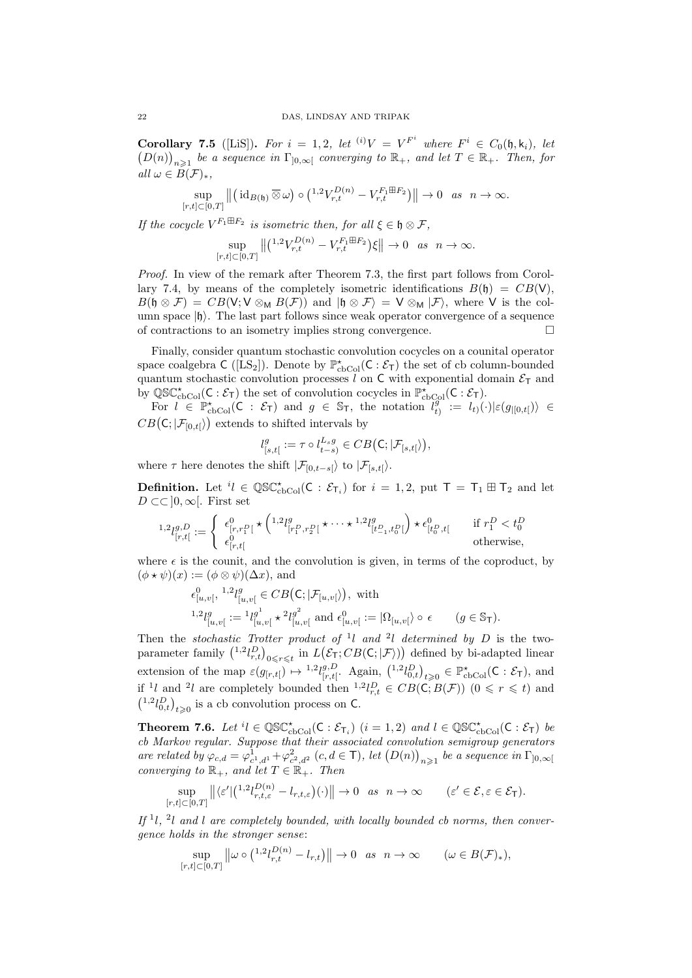**Corollary 7.5** ([LiS]). For  $i = 1, 2$ , let  $(i)V = V^{F^i}$  where  $F^i \in C_0(\mathfrak{h}, \mathsf{k}_i)$ , let  $(D(n))_{n\geqslant 1}$  be a sequence in  $\Gamma_{]0,\infty[}$  converging to  $\mathbb{R}_+$ , and let  $T \in \mathbb{R}_+$ . Then, for all  $\omega \in B(\mathcal{F})_*$ ,

$$
\sup_{[r,t]\subset[0,T]}\left\|\left(\mathrm{id}_{B(\mathfrak{h})}\,\overline{\otimes}\,\omega\right)\circ\left(\begin{smallmatrix}1,2\\r,t\end{smallmatrix}\right)V_{r,t}^{D(n)}-V_{r,t}^{F_1\boxplus F_2}\right)\right\|\to 0\quad as\quad n\to\infty.
$$

If the cocycle  $V^{F_1 \boxplus F_2}$  is isometric then, for all  $\xi \in \mathfrak{h} \otimes \mathcal{F}$ ,

$$
\sup_{[r,t]\subset[0,T]}\left\|\left(\begin{matrix}1,2V_{r,t}^{D(n)}-V_{r,t}^{F_1\boxplus F_2}\end{matrix}\right)\xi\right\|\to 0 \text{ as } n\to\infty.
$$

Proof. In view of the remark after Theorem 7.3, the first part follows from Corollary 7.4, by means of the completely isometric identifications  $B(\mathfrak{h}) = CB(V)$ ,  $B(\mathfrak{h} \otimes \mathcal{F}) = CB(V; V \otimes_M B(\mathcal{F}))$  and  $|\mathfrak{h} \otimes \mathcal{F}\rangle = V \otimes_M |\mathcal{F}\rangle$ , where V is the column space  $|h\rangle$ . The last part follows since weak operator convergence of a sequence of contractions to an isometry implies strong convergence.

Finally, consider quantum stochastic convolution cocycles on a counital operator space coalgebra  $C$  ([LS<sub>2</sub>]). Denote by  $\mathbb{P}_{\text{cbCol}}^{\star}(C:\mathcal{E}_{\tau})$  the set of cb column-bounded quantum stochastic convolution processes l on C with exponential domain  $\mathcal{E}_{\mathsf{T}}$  and by  $\mathbb{QSC}^{\star}_{\mathrm{cbCol}}(C:\mathcal{E}_{T})$  the set of convolution cocycles in  $\mathbb{P}^{\star}_{\mathrm{cbCol}}(C:\mathcal{E}_{T})$ .

For  $l \in \mathbb{P}_{\text{cbCol}}^{\star}(\mathsf{C} : \mathcal{E}_{\mathsf{T}})$  and  $g \in \mathbb{S}_{\mathsf{T}}$ , the notation  $l_t^g$  $\begin{array}{rcl} \mathbf{y} & := & l_{t}(\cdot)|\varepsilon(g_{|[0,t[})\rangle) \in \mathbf{y} \end{array}$  $CB(\mathsf{C};|\mathcal{F}_{[0,t[})\rangle)$  extends to shifted intervals by

$$
l_{[s,t]}^g:=\tau\circ l_{t-s}^{L_sg}\in CB\big(\mathsf{C};|\mathcal{F}_{[s,t[}\rangle\big),
$$

where  $\tau$  here denotes the shift  $|\mathcal{F}_{[0,t-s]} \rangle$  to  $|\mathcal{F}_{[s,t]} \rangle$ .

**Definition.** Let  ${}^{i}l \in \mathbb{QSC}^{\star}_{\text{cbCol}}(\mathsf{C} : \mathcal{E}_{\mathsf{T}_i})$  for  $i = 1, 2$ , put  $\mathsf{T} = \mathsf{T}_1 \boxplus \mathsf{T}_2$  and let  $D \subset \subset ]0,\infty[$ . First set

$$
{}^{1,2}l_{[r,t]}^{g,D} := \begin{cases} \epsilon^0_{[r,r_1^D[} \star \left( {}^{1,2}l_{[r_1^D,r_2^D[}^g \star \cdots \star {}^{1,2}l_{[t_{-1}^D,t_0^D[}^g \right) \star \epsilon^0_{[t_0^D,t[} & \text{if } r_1^D < t_0^D \\ \epsilon^0_{[r,t[} & \text{otherwise,} \end{cases}
$$

where  $\epsilon$  is the counit, and the convolution is given, in terms of the coproduct, by  $(\phi * \psi)(x) := (\phi \otimes \psi)(\Delta x)$ , and

 0 [u,v[ , 1,2 l g [u,v[ ∈ CB C; |F[u,v[i , with 1,2 l g [u,v[ := <sup>1</sup> l g 1 [u,v[ ? 2 l g 2 [u,v[ and 0 [u,v[ := |Ω[u,v[i ◦ (g ∈ ST).

Then the stochastic Trotter product of <sup>1</sup>l and <sup>2</sup>l determined by D is the twoparameter family  $(^{1,2}l_{r,t}^D)_{0\leq r\leq t}$  in  $L(\mathcal{E}_{\mathsf{T}}; CB(\mathsf{C}; |\mathcal{F} \rangle))$  defined by bi-adapted linear extension of the map  $\varepsilon(g_{[r,t[}) \mapsto {}^{1,2}l_{[r,t[}^{g,D}$  ${}_{[r,t[}^{g,D}$ . Again,  $({}^{1,2}l_{0,t}^D)_{t\geqslant0} \in \mathbb{P}_{\text{cbCol}}^{\star}(\mathsf{C}:\mathcal{E}_{\mathsf{T}})$ , and if <sup>1</sup>l and <sup>2</sup>l are completely bounded then <sup>1,2</sup> $l_{r,t}^D \in CB(\mathsf{C}, B(\mathcal{F}))$  (0  $\leqslant r \leqslant t$ ) and  $\binom{1,2}{0,1}_{t\geqslant 0}$  is a cb convolution process on C.

**Theorem 7.6.** Let  ${}^{i}l \in \mathbb{QSC}^{\star}_{\text{cbCol}}(\mathsf{C} : \mathcal{E}_{\mathsf{T}_{i}})$   $(i = 1, 2)$  and  $l \in \mathbb{QSC}^{\star}_{\text{cbCol}}(\mathsf{C} : \mathcal{E}_{\mathsf{T}})$  be cb Markov regular. Suppose that their associated convolution semigroup generators are related by  $\varphi_{c,d} = \varphi_{c^1,d^1}^1 + \varphi_{c^2,d^2}^2$   $(c,d \in \mathsf{T})$ , let  $(D(n))_{n \geq 1}$  be a sequence in  $\Gamma_{]0,\infty[}$ converging to  $\mathbb{R}_+$ , and let  $T \in \mathbb{R}_+$ . Then

$$
\sup_{[r,t]\subset[0,T]}\left\|\langle \varepsilon'\vert \left(^{1,2}l_{r,t,\varepsilon}^{D(n)}-l_{r,t,\varepsilon}\right)\left(\cdot\right)\right\|\to 0 \quad as \quad n\to\infty \qquad (\varepsilon'\in\mathcal{E},\varepsilon\in\mathcal{E}_{\mathsf{T}}).
$$

If  $1, 2$ l and l are completely bounded, with locally bounded cb norms, then convergence holds in the stronger sense:

$$
\sup_{[r,t]\subset[0,T]}\left\|\omega\circ\left(\frac{1,2l_{r,t}^{D(n)}-l_{r,t}\right)\right\|\to 0 \quad as \quad n\to\infty \qquad (\omega\in B(\mathcal{F})_*),
$$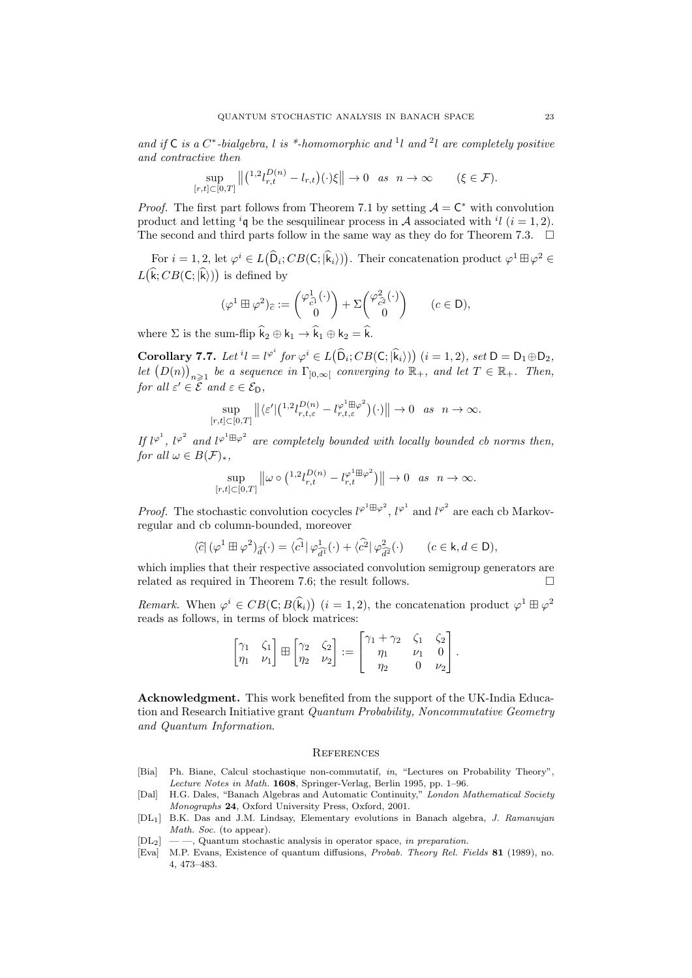and if  $C$  is a  $C^*$ -bialgebra, l is \*-homomorphic and <sup>1</sup>l and <sup>2</sup>l are completely positive and contractive then

$$
\sup_{[r,t]\subset[0,T]}\left\|\left(\begin{matrix}1.2l_pD(n) \ -l_{r,t}\end{matrix}\right)(\cdot)\xi\right\|\to 0 \quad as \quad n\to\infty \qquad (\xi\in\mathcal{F}).
$$

*Proof.* The first part follows from Theorem 7.1 by setting  $A = C^*$  with convolution product and letting <sup>i</sup>q be the sesquilinear process in A associated with <sup>i</sup>l (i = 1, 2). The second and third parts follow in the same way as they do for Theorem 7.3.  $\Box$ 

For  $i = 1, 2$ , let  $\varphi^i \in L(\widehat{\mathsf{D}}_i; CB(\mathsf{C}; \widehat{\mathsf{k}}_i)))$ . Their concatenation product  $\varphi^1 \boxplus \varphi^2 \in$  $L(k; CB(C; \vert k))$  is defined by

$$
(\varphi^1 \boxplus \varphi^2)_{\widehat{c}} := \begin{pmatrix} \varphi^1_{\widehat{c}^1}(\cdot) \\ 0 \end{pmatrix} + \Sigma \begin{pmatrix} \varphi^2_{\widehat{c}^2}(\cdot) \\ 0 \end{pmatrix} \qquad (c \in \mathsf{D}),
$$

where  $\Sigma$  is the sum-flip  $\hat{\mathsf{k}}_2 \oplus \mathsf{k}_1 \to \hat{\mathsf{k}}_1 \oplus \mathsf{k}_2 = \hat{\mathsf{k}}$ .

Corollary 7.7. Let  ${}^{i}l = l^{\varphi^{i}}$  for  $\varphi^{i} \in L(\widehat{D}_{i}; CB(C; |\widehat{k}_{i}\rangle))$   $(i = 1, 2)$ , set  $D = D_1 \oplus D_2$ , let  $(D(n))_{n\geqslant 1}$  be a sequence in  $\Gamma_{]0,\infty[}$  converging to  $\mathbb{R}_+$ , and let  $T \in \mathbb{R}_+$ . Then, for all  $\varepsilon' \in \hat{\mathcal{E}}$  and  $\varepsilon \in \mathcal{E}_{\mathsf{D}}$ ,

$$
\sup_{[r,t]\subset[0,T]}\left\|\langle\varepsilon'\big|\left(\frac{1}{2}l_{r,t,\varepsilon}^{D(n)}-l_{r,t,\varepsilon}^{\varphi^1\boxplus\varphi^2}\right)(\cdot)\right\|\to 0\quad as\quad n\to\infty.
$$

If  $l^{\varphi^1}$ ,  $l^{\varphi^2}$  and  $l^{\varphi^1 \boxplus \varphi^2}$  are completely bounded with locally bounded cb norms then, for all  $\omega \in B(\mathcal{F})_*$ ,

$$
\sup_{[r,t]\subset[0,T]}\left\|\omega\circ\tbinom{1.2}{r,t}^{D(n)}-l^{\varphi^1\boxplus\varphi^2}_{r,t}\right\|\to 0 \text{ as } n\to\infty.
$$

*Proof.* The stochastic convolution cocycles  $l^{\varphi^1 \boxplus \varphi^2}$ ,  $l^{\varphi^1}$  and  $l^{\varphi^2}$  are each cb Markovregular and cb column-bounded, moreover

$$
\langle \widehat{c} | (\varphi^1 \boxplus \varphi^2)_{\widehat{d}} (\cdot) = \langle \widehat{c^1} | \varphi^1_{\widehat{d^1}} (\cdot) + \langle \widehat{c^2} | \varphi^2_{\widehat{d^2}} (\cdot) \rangle \qquad (c \in \mathsf{k}, d \in \mathsf{D}),
$$

which implies that their respective associated convolution semigroup generators are related as required in Theorem 7.6; the result follows.

Remark. When  $\varphi^i \in CB(C; B(\widehat{k}_i))$   $(i = 1, 2)$ , the concatenation product  $\varphi^1 \boxplus \varphi^2$ reads as follows, in terms of block matrices:

|  |  | $\begin{bmatrix} \gamma_1 & \zeta_1 \\ \eta_1 & \nu_1 \end{bmatrix} \boxplus \begin{bmatrix} \gamma_2 & \zeta_2 \\ \eta_2 & \nu_2 \end{bmatrix} := \begin{bmatrix} \gamma_1 + \gamma_2 & \zeta_1 & \zeta_2 \\ \eta_1 & \nu_1 & 0 \\ \eta_2 & 0 & \nu_2 \end{bmatrix}.$ |  |  |
|--|--|------------------------------------------------------------------------------------------------------------------------------------------------------------------------------------------------------------------------------------------------------------------------|--|--|
|  |  |                                                                                                                                                                                                                                                                        |  |  |
|  |  |                                                                                                                                                                                                                                                                        |  |  |

Acknowledgment. This work benefited from the support of the UK-India Education and Research Initiative grant Quantum Probability, Noncommutative Geometry and Quantum Information.

#### **REFERENCES**

- [Bia] Ph. Biane, Calcul stochastique non-commutatif, in, "Lectures on Probability Theory", Lecture Notes in Math. 1608, Springer-Verlag, Berlin 1995, pp. 1–96.
- [Dal] H.G. Dales, "Banach Algebras and Automatic Continuity," London Mathematical Society Monographs 24, Oxford University Press, Oxford, 2001.
- [DL1] B.K. Das and J.M. Lindsay, Elementary evolutions in Banach algebra, J. Ramanujan Math. Soc. (to appear).
- $[DL_2] \ \_\text{quantum stochastic analysis}$  in operator space, in preparation.
- [Eva] M.P. Evans, Existence of quantum diffusions, Probab. Theory Rel. Fields 81 (1989), no. 4, 473–483.